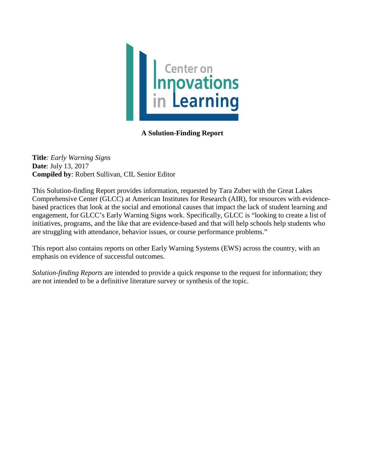

# **A Solution-Finding Report**

**Title***: Early Warning Signs* **Date**: July 13, 2017 **Compiled by**: Robert Sullivan, CIL Senior Editor

This Solution-finding Report provides information, requested by Tara Zuber with the Great Lakes Comprehensive Center (GLCC) at American Institutes for Research (AIR), for resources with evidencebased practices that look at the social and emotional causes that impact the lack of student learning and engagement, for GLCC's Early Warning Signs work. Specifically, GLCC is "looking to create a list of initiatives, programs, and the like that are evidence-based and that will help schools help students who are struggling with attendance, behavior issues, or course performance problems."

This report also contains reports on other Early Warning Systems (EWS) across the country, with an emphasis on evidence of successful outcomes.

*Solution-finding Reports* are intended to provide a quick response to the request for information; they are not intended to be a definitive literature survey or synthesis of the topic.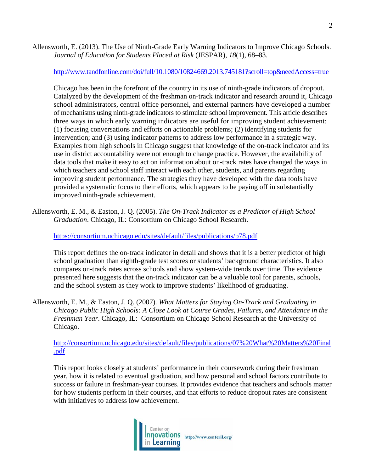Allensworth, E. (2013). The Use of Ninth-Grade Early Warning Indicators to Improve Chicago Schools. *Journal of Education for Students Placed at Risk* (JESPAR), *18*(1), 68–83.

<http://www.tandfonline.com/doi/full/10.1080/10824669.2013.745181?scroll=top&needAccess=true>

Chicago has been in the forefront of the country in its use of ninth-grade indicators of dropout. Catalyzed by the development of the freshman on-track indicator and research around it, Chicago school administrators, central office personnel, and external partners have developed a number of mechanisms using ninth-grade indicators to stimulate school improvement. This article describes three ways in which early warning indicators are useful for improving student achievement: (1) focusing conversations and efforts on actionable problems; (2) identifying students for intervention; and (3) using indicator patterns to address low performance in a strategic way. Examples from high schools in Chicago suggest that knowledge of the on-track indicator and its use in district accountability were not enough to change practice. However, the availability of data tools that make it easy to act on information about on-track rates have changed the ways in which teachers and school staff interact with each other, students, and parents regarding improving student performance. The strategies they have developed with the data tools have provided a systematic focus to their efforts, which appears to be paying off in substantially improved ninth-grade achievement.

Allensworth, E. M., & Easton, J. Q. (2005). *The On-Track Indicator as a Predictor of High School Graduation*. Chicago, IL: Consortium on Chicago School Research.

<https://consortium.uchicago.edu/sites/default/files/publications/p78.pdf>

This report defines the on-track indicator in detail and shows that it is a better predictor of high school graduation than eighth-grade test scores or students' background characteristics. It also compares on-track rates across schools and show system-wide trends over time. The evidence presented here suggests that the on-track indicator can be a valuable tool for parents, schools, and the school system as they work to improve students' likelihood of graduating.

Allensworth, E. M., & Easton, J. Q. (2007). *What Matters for Staying On-Track and Graduating in Chicago Public High Schools: A Close Look at Course Grades, Failures, and Attendance in the Freshman Year*. Chicago, IL: Consortium on Chicago School Research at the University of Chicago.

[http://consortium.uchicago.edu/sites/default/files/publications/07%20What%20Matters%20Final](http://consortium.uchicago.edu/sites/default/files/publications/07%20What%20Matters%20Final.pdf) [.pdf](http://consortium.uchicago.edu/sites/default/files/publications/07%20What%20Matters%20Final.pdf)

This report looks closely at students' performance in their coursework during their freshman year, how it is related to eventual graduation, and how personal and school factors contribute to success or failure in freshman-year courses. It provides evidence that teachers and schools matter for how students perform in their courses, and that efforts to reduce dropout rates are consistent with initiatives to address low achievement.

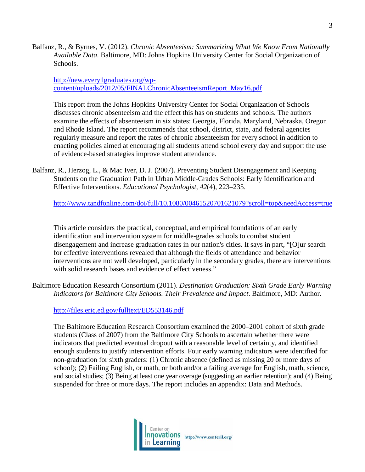Balfanz, R., & Byrnes, V. (2012). *Chronic Absenteeism: Summarizing What We Know From Nationally Available Data*. Baltimore, MD: Johns Hopkins University Center for Social Organization of Schools.

[http://new.every1graduates.org/wp](http://new.every1graduates.org/wp-content/uploads/2012/05/FINALChronicAbsenteeismReport_May16.pdf)[content/uploads/2012/05/FINALChronicAbsenteeismReport\\_May16.pdf](http://new.every1graduates.org/wp-content/uploads/2012/05/FINALChronicAbsenteeismReport_May16.pdf)

This report from the Johns Hopkins University Center for Social Organization of Schools discusses chronic absenteeism and the effect this has on students and schools. The authors examine the effects of absenteeism in six states: Georgia, Florida, Maryland, Nebraska, Oregon and Rhode Island. The report recommends that school, district, state, and federal agencies regularly measure and report the rates of chronic absenteeism for every school in addition to enacting policies aimed at encouraging all students attend school every day and support the use of evidence-based strategies improve student attendance.

Balfanz, R., Herzog, L., & Mac Iver, D. J. (2007). Preventing Student Disengagement and Keeping Students on the Graduation Path in Urban Middle-Grades Schools: Early Identification and Effective Interventions. *Educational Psychologist*, *42*(4), 223–235.

<http://www.tandfonline.com/doi/full/10.1080/00461520701621079?scroll=top&needAccess=true>

This article considers the practical, conceptual, and empirical foundations of an early identification and intervention system for middle-grades schools to combat student disengagement and increase graduation rates in our nation's cities. It says in part, "[O]ur search for effective interventions revealed that although the fields of attendance and behavior interventions are not well developed, particularly in the secondary grades, there are interventions with solid research bases and evidence of effectiveness."

Baltimore Education Research Consortium (2011). *Destination Graduation: Sixth Grade Early Warning Indicators for Baltimore City Schools. Their Prevalence and Impact*. Baltimore, MD: Author.

<http://files.eric.ed.gov/fulltext/ED553146.pdf>

The Baltimore Education Research Consortium examined the 2000–2001 cohort of sixth grade students (Class of 2007) from the Baltimore City Schools to ascertain whether there were indicators that predicted eventual dropout with a reasonable level of certainty, and identified enough students to justify intervention efforts. Four early warning indicators were identified for non-graduation for sixth graders: (1) Chronic absence (defined as missing 20 or more days of school); (2) Failing English, or math, or both and/or a failing average for English, math, science, and social studies; (3) Being at least one year overage (suggesting an earlier retention); and (4) Being suspended for three or more days. The report includes an appendix: Data and Methods.

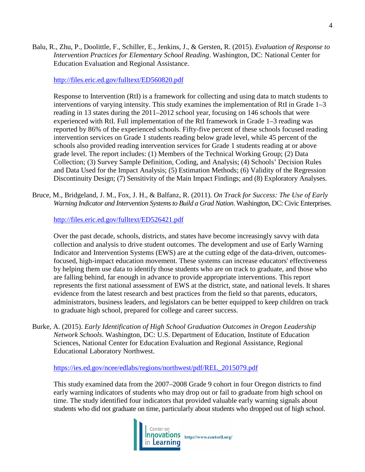Balu, R., Zhu, P., Doolittle, F., Schiller, E., Jenkins, J., & Gersten, R. (2015). *Evaluation of Response to Intervention Practices for Elementary School Reading*. Washington, DC: National Center for Education Evaluation and Regional Assistance.

#### <http://files.eric.ed.gov/fulltext/ED560820.pdf>

Response to Intervention (RtI) is a framework for collecting and using data to match students to interventions of varying intensity. This study examines the implementation of RtI in Grade 1–3 reading in 13 states during the 2011–2012 school year, focusing on 146 schools that were experienced with RtI. Full implementation of the RtI framework in Grade 1–3 reading was reported by 86% of the experienced schools. Fifty-five percent of these schools focused reading intervention services on Grade 1 students reading below grade level, while 45 percent of the schools also provided reading intervention services for Grade 1 students reading at or above grade level. The report includes: (1) Members of the Technical Working Group; (2) Data Collection; (3) Survey Sample Definition, Coding, and Analysis; (4) Schools' Decision Rules and Data Used for the Impact Analysis; (5) Estimation Methods; (6) Validity of the Regression Discontinuity Design; (7) Sensitivity of the Main Impact Findings; and (8) Exploratory Analyses.

Bruce, M., Bridgeland, J. M., Fox, J. H., & Balfanz, R. (2011). *On Track for Success: The Use of Early Warning Indicator and Intervention Systems to Build a Grad Nation*. Washington, DC: Civic Enterprises.

<http://files.eric.ed.gov/fulltext/ED526421.pdf>

Over the past decade, schools, districts, and states have become increasingly savvy with data collection and analysis to drive student outcomes. The development and use of Early Warning Indicator and Intervention Systems (EWS) are at the cutting edge of the data-driven, outcomesfocused, high-impact education movement. These systems can increase educators' effectiveness by helping them use data to identify those students who are on track to graduate, and those who are falling behind, far enough in advance to provide appropriate interventions. This report represents the first national assessment of EWS at the district, state, and national levels. It shares evidence from the latest research and best practices from the field so that parents, educators, administrators, business leaders, and legislators can be better equipped to keep children on track to graduate high school, prepared for college and career success.

Burke, A. (2015). *Early Identification of High School Graduation Outcomes in Oregon Leadership Network Schools*. Washington, DC: U.S. Department of Education, Institute of Education Sciences, National Center for Education Evaluation and Regional Assistance, Regional Educational Laboratory Northwest.

[https://ies.ed.gov/ncee/edlabs/regions/northwest/pdf/REL\\_2015079.pdf](https://ies.ed.gov/ncee/edlabs/regions/northwest/pdf/REL_2015079.pdf)

This study examined data from the 2007–2008 Grade 9 cohort in four Oregon districts to find early warning indicators of students who may drop out or fail to graduate from high school on time. The study identified four indicators that provided valuable early warning signals about students who did not graduate on time, particularly about students who dropped out of high school.

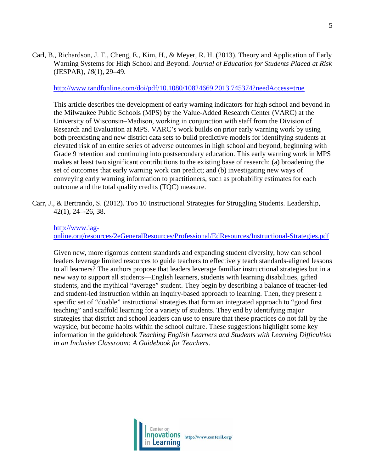Carl, B., Richardson, J. T., Cheng, E., Kim, H., & Meyer, R. H. (2013). Theory and Application of Early Warning Systems for High School and Beyond. *Journal of Education for Students Placed at Risk* (JESPAR), *18*(1), 29–49.

#### <http://www.tandfonline.com/doi/pdf/10.1080/10824669.2013.745374?needAccess=true>

This article describes the development of early warning indicators for high school and beyond in the Milwaukee Public Schools (MPS) by the Value-Added Research Center (VARC) at the University of Wisconsin–Madison, working in conjunction with staff from the Division of Research and Evaluation at MPS. VARC's work builds on prior early warning work by using both preexisting and new district data sets to build predictive models for identifying students at elevated risk of an entire series of adverse outcomes in high school and beyond, beginning with Grade 9 retention and continuing into postsecondary education. This early warning work in MPS makes at least two significant contributions to the existing base of research: (a) broadening the set of outcomes that early warning work can predict; and (b) investigating new ways of conveying early warning information to practitioners, such as probability estimates for each outcome and the total quality credits (TQC) measure.

Carr, J., & Bertrando, S. (2012). Top 10 Instructional Strategies for Struggling Students. Leadership, 42(1), 24–-26, 38.

### [http://www.iag-](http://www.iag-online.org/resources/2eGeneralResources/Professional/EdResources/Instructional-Strategies.pdf)

[online.org/resources/2eGeneralResources/Professional/EdResources/Instructional-Strategies.pdf](http://www.iag-online.org/resources/2eGeneralResources/Professional/EdResources/Instructional-Strategies.pdf)

Given new, more rigorous content standards and expanding student diversity, how can school leaders leverage limited resources to guide teachers to effectively teach standards-aligned lessons to all learners? The authors propose that leaders leverage familiar instructional strategies but in a new way to support all students—English learners, students with learning disabilities, gifted students, and the mythical "average" student. They begin by describing a balance of teacher-led and student-led instruction within an inquiry-based approach to learning. Then, they present a specific set of "doable" instructional strategies that form an integrated approach to "good first teaching" and scaffold learning for a variety of students. They end by identifying major strategies that district and school leaders can use to ensure that these practices do not fall by the wayside, but become habits within the school culture. These suggestions highlight some key information in the guidebook *Teaching English Learners and Students with Learning Difficulties in an Inclusive Classroom: A Guidebook for Teachers*.

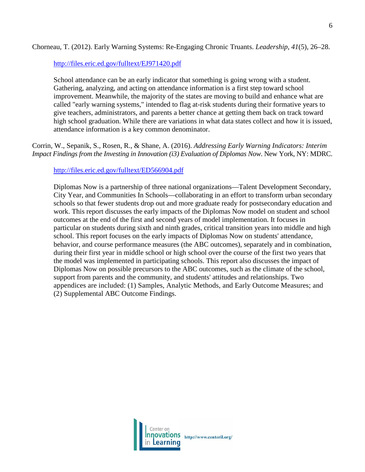## Chorneau, T. (2012). Early Warning Systems: Re-Engaging Chronic Truants. *Leadership*, *41*(5), 26–28.

<http://files.eric.ed.gov/fulltext/EJ971420.pdf>

School attendance can be an early indicator that something is going wrong with a student. Gathering, analyzing, and acting on attendance information is a first step toward school improvement. Meanwhile, the majority of the states are moving to build and enhance what are called "early warning systems," intended to flag at-risk students during their formative years to give teachers, administrators, and parents a better chance at getting them back on track toward high school graduation. While there are variations in what data states collect and how it is issued, attendance information is a key common denominator.

Corrin, W., Sepanik, S., Rosen, R., & Shane, A. (2016). *Addressing Early Warning Indicators: Interim Impact Findings from the Investing in Innovation (i3) Evaluation of Diplomas Now*. New York, NY: MDRC.

<http://files.eric.ed.gov/fulltext/ED566904.pdf>

Diplomas Now is a partnership of three national organizations—Talent Development Secondary, City Year, and Communities In Schools—collaborating in an effort to transform urban secondary schools so that fewer students drop out and more graduate ready for postsecondary education and work. This report discusses the early impacts of the Diplomas Now model on student and school outcomes at the end of the first and second years of model implementation. It focuses in particular on students during sixth and ninth grades, critical transition years into middle and high school. This report focuses on the early impacts of Diplomas Now on students' attendance, behavior, and course performance measures (the ABC outcomes), separately and in combination, during their first year in middle school or high school over the course of the first two years that the model was implemented in participating schools. This report also discusses the impact of Diplomas Now on possible precursors to the ABC outcomes, such as the climate of the school, support from parents and the community, and students' attitudes and relationships. Two appendices are included: (1) Samples, Analytic Methods, and Early Outcome Measures; and (2) Supplemental ABC Outcome Findings.

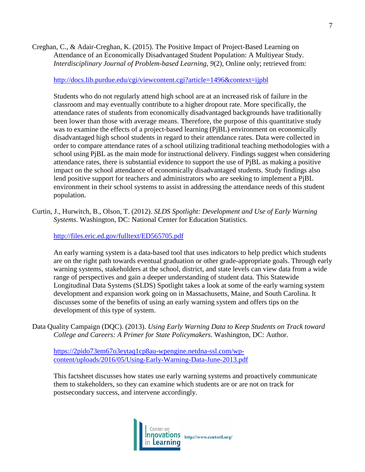Creghan, C., & Adair-Creghan, K. (2015). The Positive Impact of Project-Based Learning on Attendance of an Economically Disadvantaged Student Population: A Multiyear Study. *Interdisciplinary Journal of Problem-based Learning*, *9*(2), Online only; retrieved from:

#### <http://docs.lib.purdue.edu/cgi/viewcontent.cgi?article=1496&context=ijpbl>

Students who do not regularly attend high school are at an increased risk of failure in the classroom and may eventually contribute to a higher dropout rate. More specifically, the attendance rates of students from economically disadvantaged backgrounds have traditionally been lower than those with average means. Therefore, the purpose of this quantitative study was to examine the effects of a project-based learning (PjBL) environment on economically disadvantaged high school students in regard to their attendance rates. Data were collected in order to compare attendance rates of a school utilizing traditional teaching methodologies with a school using PjBL as the main mode for instructional delivery. Findings suggest when considering attendance rates, there is substantial evidence to support the use of PjBL as making a positive impact on the school attendance of economically disadvantaged students. Study findings also lend positive support for teachers and administrators who are seeking to implement a PjBL environment in their school systems to assist in addressing the attendance needs of this student population.

Curtin, J., Hurwitch, B., Olson, T. (2012). *SLDS Spotlight: Development and Use of Early Warning Systems*. Washington, DC: National Center for Education Statistics.

<http://files.eric.ed.gov/fulltext/ED565705.pdf>

An early warning system is a data-based tool that uses indicators to help predict which students are on the right path towards eventual graduation or other grade-appropriate goals. Through early warning systems, stakeholders at the school, district, and state levels can view data from a wide range of perspectives and gain a deeper understanding of student data. This Statewide Longitudinal Data Systems (SLDS) Spotlight takes a look at some of the early warning system development and expansion work going on in Massachusetts, Maine, and South Carolina. It discusses some of the benefits of using an early warning system and offers tips on the development of this type of system.

Data Quality Campaign (DQC). (2013). *Using Early Warning Data to Keep Students on Track toward College and Careers: A Primer for State Policymakers*. Washington, DC: Author.

[https://2pido73em67o3eytaq1cp8au-wpengine.netdna-ssl.com/wp](https://2pido73em67o3eytaq1cp8au-wpengine.netdna-ssl.com/wp-content/uploads/2016/05/Using-Early-Warning-Data-June-2013.pdf)[content/uploads/2016/05/Using-Early-Warning-Data-June-2013.pdf](https://2pido73em67o3eytaq1cp8au-wpengine.netdna-ssl.com/wp-content/uploads/2016/05/Using-Early-Warning-Data-June-2013.pdf)

This factsheet discusses how states use early warning systems and proactively communicate them to stakeholders, so they can examine which students are or are not on track for postsecondary success, and intervene accordingly.

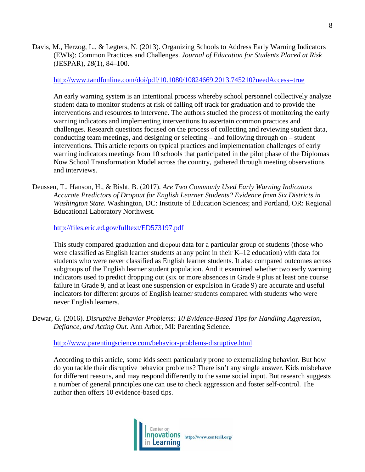Davis, M., Herzog, L., & Legters, N. (2013). Organizing Schools to Address Early Warning Indicators (EWIs): Common Practices and Challenges. *Journal of Education for Students Placed at Risk* (JESPAR), *18*(1), 84–100.

#### <http://www.tandfonline.com/doi/pdf/10.1080/10824669.2013.745210?needAccess=true>

An early warning system is an intentional process whereby school personnel collectively analyze student data to monitor students at risk of falling off track for graduation and to provide the interventions and resources to intervene. The authors studied the process of monitoring the early warning indicators and implementing interventions to ascertain common practices and challenges. Research questions focused on the process of collecting and reviewing student data, conducting team meetings, and designing or selecting – and following through on – student interventions. This article reports on typical practices and implementation challenges of early warning indicators meetings from 10 schools that participated in the pilot phase of the Diplomas Now School Transformation Model across the country, gathered through meeting observations and interviews.

Deussen, T., Hanson, H., & Bisht, B. (2017). *Are Two Commonly Used Early Warning Indicators Accurate Predictors of Dropout for English Learner Students? Evidence from Six Districts in Washington State*. Washington, DC: Institute of Education Sciences; and Portland, OR: Regional Educational Laboratory Northwest.

<http://files.eric.ed.gov/fulltext/ED573197.pdf>

This study compared graduation and dropout data for a particular group of students (those who were classified as English learner students at any point in their K–12 education) with data for students who were never classified as English learner students. It also compared outcomes across subgroups of the English learner student population. And it examined whether two early warning indicators used to predict dropping out (six or more absences in Grade 9 plus at least one course failure in Grade 9, and at least one suspension or expulsion in Grade 9) are accurate and useful indicators for different groups of English learner students compared with students who were never English learners.

Dewar, G. (2016). *Disruptive Behavior Problems: 10 Evidence-Based Tips for Handling Aggression, Defiance, and Acting Out*. Ann Arbor, MI: Parenting Science.

<http://www.parentingscience.com/behavior-problems-disruptive.html>

According to this article, some kids seem particularly prone to externalizing behavior. But how do you tackle their disruptive behavior problems? There isn't any single answer. Kids misbehave for different reasons, and may respond differently to the same social input. But research suggests a number of general principles one can use to check aggression and foster self-control. The author then offers 10 evidence-based tips.

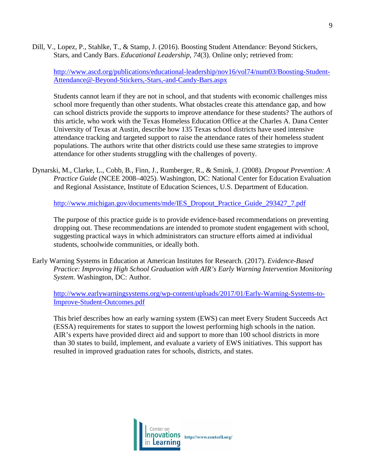Dill, V., Lopez, P., Stahlke, T., & Stamp, J. (2016). Boosting Student Attendance: Beyond Stickers, Stars, and Candy Bars. *Educational Leadership*, *74*(3). Online only; retrieved from:

[http://www.ascd.org/publications/educational-leadership/nov16/vol74/num03/Boosting-Student-](http://www.ascd.org/publications/educational-leadership/nov16/vol74/num03/Boosting-Student-Attendance@-Beyond-Stickers,-Stars,-and-Candy-Bars.aspx)[Attendance@-Beyond-Stickers,-Stars,-and-Candy-Bars.aspx](http://www.ascd.org/publications/educational-leadership/nov16/vol74/num03/Boosting-Student-Attendance@-Beyond-Stickers,-Stars,-and-Candy-Bars.aspx)

Students cannot learn if they are not in school, and that students with economic challenges miss school more frequently than other students. What obstacles create this attendance gap, and how can school districts provide the supports to improve attendance for these students? The authors of this article, who work with the Texas Homeless Education Office at the Charles A. Dana Center University of Texas at Austin, describe how 135 Texas school districts have used intensive attendance tracking and targeted support to raise the attendance rates of their homeless student populations. The authors write that other districts could use these same strategies to improve attendance for other students struggling with the challenges of poverty.

Dynarski, M., Clarke, L., Cobb, B., Finn, J., Rumberger, R., & Smink, J. (2008). *Dropout Prevention: A Practice Guide* (NCEE 2008–4025). Washington, DC: National Center for Education Evaluation and Regional Assistance, Institute of Education Sciences, U.S. Department of Education.

[http://www.michigan.gov/documents/mde/IES\\_Dropout\\_Practice\\_Guide\\_293427\\_7.pdf](http://www.michigan.gov/documents/mde/IES_Dropout_Practice_Guide_293427_7.pdf)

The purpose of this practice guide is to provide evidence-based recommendations on preventing dropping out. These recommendations are intended to promote student engagement with school, suggesting practical ways in which administrators can structure efforts aimed at individual students, schoolwide communities, or ideally both.

Early Warning Systems in Education at American Institutes for Research. (2017). *Evidence-Based Practice: Improving High School Graduation with AIR's Early Warning Intervention Monitoring System*. Washington, DC: Author.

[http://www.earlywarningsystems.org/wp-content/uploads/2017/01/Early-Warning-Systems-to-](http://www.earlywarningsystems.org/wp-content/uploads/2017/01/Early-Warning-Systems-to-Improve-Student-Outcomes.pdf)[Improve-Student-Outcomes.pdf](http://www.earlywarningsystems.org/wp-content/uploads/2017/01/Early-Warning-Systems-to-Improve-Student-Outcomes.pdf)

This brief describes how an early warning system (EWS) can meet Every Student Succeeds Act (ESSA) requirements for states to support the lowest performing high schools in the nation. AIR's experts have provided direct aid and support to more than 100 school districts in more than 30 states to build, implement, and evaluate a variety of EWS initiatives. This support has resulted in improved graduation rates for schools, districts, and states.

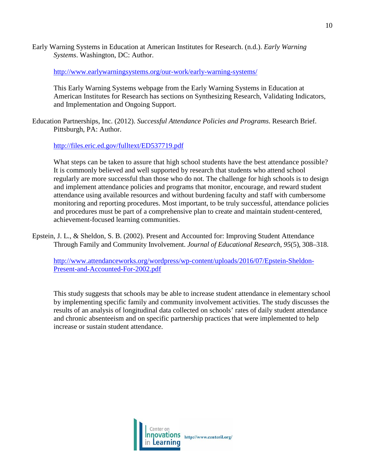Early Warning Systems in Education at American Institutes for Research. (n.d.). *Early Warning Systems*. Washington, DC: Author.

<http://www.earlywarningsystems.org/our-work/early-warning-systems/>

This Early Warning Systems webpage from the Early Warning Systems in Education at American Institutes for Research has sections on Synthesizing Research, Validating Indicators, and Implementation and Ongoing Support.

Education Partnerships, Inc. (2012). *Successful Attendance Policies and Programs*. Research Brief. Pittsburgh, PA: Author.

# <http://files.eric.ed.gov/fulltext/ED537719.pdf>

What steps can be taken to assure that high school students have the best attendance possible? It is commonly believed and well supported by research that students who attend school regularly are more successful than those who do not. The challenge for high schools is to design and implement attendance policies and programs that monitor, encourage, and reward student attendance using available resources and without burdening faculty and staff with cumbersome monitoring and reporting procedures. Most important, to be truly successful, attendance policies and procedures must be part of a comprehensive plan to create and maintain student-centered, achievement-focused learning communities.

Epstein, J. L., & Sheldon, S. B. (2002). Present and Accounted for: Improving Student Attendance Through Family and Community Involvement. *Journal of Educational Research*, *95*(5), 308–318.

[http://www.attendanceworks.org/wordpress/wp-content/uploads/2016/07/Epstein-Sheldon-](http://www.attendanceworks.org/wordpress/wp-content/uploads/2016/07/Epstein-Sheldon-Present-and-Accounted-For-2002.pdf)[Present-and-Accounted-For-2002.pdf](http://www.attendanceworks.org/wordpress/wp-content/uploads/2016/07/Epstein-Sheldon-Present-and-Accounted-For-2002.pdf)

This study suggests that schools may be able to increase student attendance in elementary school by implementing specific family and community involvement activities. The study discusses the results of an analysis of longitudinal data collected on schools' rates of daily student attendance and chronic absenteeism and on specific partnership practices that were implemented to help increase or sustain student attendance.

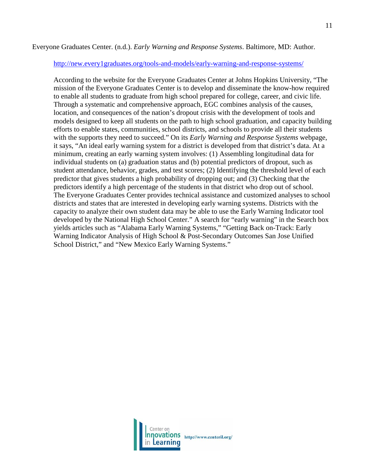## Everyone Graduates Center. (n.d.). *Early Warning and Response Systems*. Baltimore, MD: Author.

#### <http://new.every1graduates.org/tools-and-models/early-warning-and-response-systems/>

According to the website for the Everyone Graduates Center at Johns Hopkins University, "The mission of the Everyone Graduates Center is to develop and disseminate the know-how required to enable all students to graduate from high school prepared for college, career, and civic life. Through a systematic and comprehensive approach, EGC combines analysis of the causes, location, and consequences of the nation's dropout crisis with the development of tools and models designed to keep all students on the path to high school graduation, and capacity building efforts to enable states, communities, school districts, and schools to provide all their students with the supports they need to succeed." On its *Early Warning and Response Systems* webpage, it says, "An ideal early warning system for a district is developed from that district's data. At a minimum, creating an early warning system involves: (1) Assembling longitudinal data for individual students on (a) graduation status and (b) potential predictors of dropout, such as student attendance, behavior, grades, and test scores; (2) Identifying the threshold level of each predictor that gives students a high probability of dropping out; and (3) Checking that the predictors identify a high percentage of the students in that district who drop out of school. The Everyone Graduates Center provides technical assistance and customized analyses to school districts and states that are interested in developing early warning systems. Districts with the capacity to analyze their own student data may be able to use the Early Warning Indicator tool developed by the National High School Center." A search for "early warning" in the Search box yields articles such as "Alabama Early Warning Systems," "Getting Back on-Track: Early Warning Indicator Analysis of High School & Post-Secondary Outcomes San Jose Unified School District," and "New Mexico Early Warning Systems."

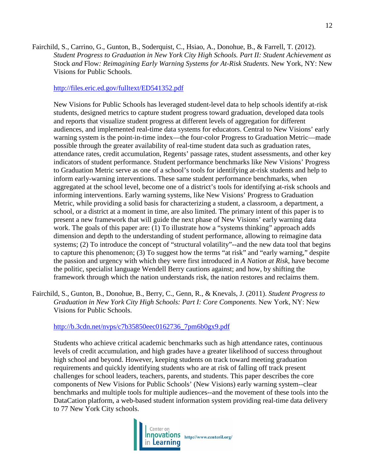Fairchild, S., Carrino, G., Gunton, B., Soderquist, C., Hsiao, A., Donohue, B., & Farrell, T. (2012). *Student Progress to Graduation in New York City High Schools. Part II: Student Achievement as*  Stock *and* Flow*: Reimagining Early Warning Systems for At-Risk Students*. New York, NY: New Visions for Public Schools.

#### <http://files.eric.ed.gov/fulltext/ED541352.pdf>

New Visions for Public Schools has leveraged student-level data to help schools identify at-risk students, designed metrics to capture student progress toward graduation, developed data tools and reports that visualize student progress at different levels of aggregation for different audiences, and implemented real-time data systems for educators. Central to New Visions' early warning system is the point-in-time index—the four-color Progress to Graduation Metric—made possible through the greater availability of real-time student data such as graduation rates, attendance rates, credit accumulation, Regents' passage rates, student assessments, and other key indicators of student performance. Student performance benchmarks like New Visions' Progress to Graduation Metric serve as one of a school's tools for identifying at-risk students and help to inform early-warning interventions. These same student performance benchmarks, when aggregated at the school level, become one of a district's tools for identifying at-risk schools and informing interventions. Early warning systems, like New Visions' Progress to Graduation Metric, while providing a solid basis for characterizing a student, a classroom, a department, a school, or a district at a moment in time, are also limited. The primary intent of this paper is to present a new framework that will guide the next phase of New Visions' early warning data work. The goals of this paper are: (1) To illustrate how a "systems thinking" approach adds dimension and depth to the understanding of student performance, allowing to reimagine data systems; (2) To introduce the concept of "structural volatility"--and the new data tool that begins to capture this phenomenon; (3) To suggest how the terms "at risk" and "early warning," despite the passion and urgency with which they were first introduced in *A Nation at Risk*, have become the politic, specialist language Wendell Berry cautions against; and how, by shifting the framework through which the nation understands risk, the nation restores and reclaims them.

Fairchild, S., Gunton, B., Donohue, B., Berry, C., Genn, R., & Knevals, J. (2011). *Student Progress to Graduation in New York City High Schools: Part I: Core Components*. New York, NY: New Visions for Public Schools.

[http://b.3cdn.net/nvps/c7b35850eec0162736\\_7pm6b0gx9.pdf](http://b.3cdn.net/nvps/c7b35850eec0162736_7pm6b0gx9.pdf)

Students who achieve critical academic benchmarks such as high attendance rates, continuous levels of credit accumulation, and high grades have a greater likelihood of success throughout high school and beyond. However, keeping students on track toward meeting graduation requirements and quickly identifying students who are at risk of falling off track present challenges for school leaders, teachers, parents, and students. This paper describes the core components of New Visions for Public Schools' (New Visions) early warning system--clear benchmarks and multiple tools for multiple audiences--and the movement of these tools into the DataCation platform, a web-based student information system providing real-time data delivery to 77 New York City schools.

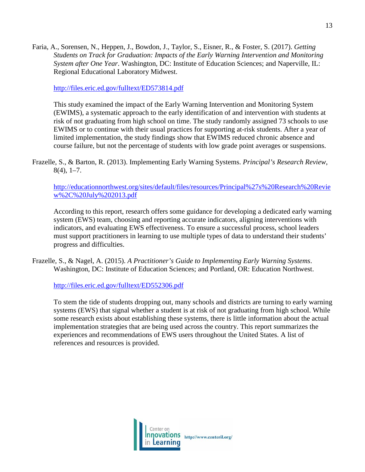Faria, A., Sorensen, N., Heppen, J., Bowdon, J., Taylor, S., Eisner, R., & Foster, S. (2017). *Getting Students on Track for Graduation: Impacts of the Early Warning Intervention and Monitoring System after One Year*. Washington, DC: Institute of Education Sciences; and Naperville, IL: Regional Educational Laboratory Midwest.

<http://files.eric.ed.gov/fulltext/ED573814.pdf>

This study examined the impact of the Early Warning Intervention and Monitoring System (EWIMS), a systematic approach to the early identification of and intervention with students at risk of not graduating from high school on time. The study randomly assigned 73 schools to use EWIMS or to continue with their usual practices for supporting at-risk students. After a year of limited implementation, the study findings show that EWIMS reduced chronic absence and course failure, but not the percentage of students with low grade point averages or suspensions.

Frazelle, S., & Barton, R. (2013). Implementing Early Warning Systems. *Principal's Research Review*,  $8(4)$ , 1–7.

[http://educationnorthwest.org/sites/default/files/resources/Principal%27s%20Research%20Revie](http://educationnorthwest.org/sites/default/files/resources/Principal%27s%20Research%20Review%2C%20July%202013.pdf) [w%2C%20July%202013.pdf](http://educationnorthwest.org/sites/default/files/resources/Principal%27s%20Research%20Review%2C%20July%202013.pdf)

According to this report, research offers some guidance for developing a dedicated early warning system (EWS) team, choosing and reporting accurate indicators, aligning interventions with indicators, and evaluating EWS effectiveness. To ensure a successful process, school leaders must support practitioners in learning to use multiple types of data to understand their students' progress and difficulties.

Frazelle, S., & Nagel, A. (2015). *A Practitioner's Guide to Implementing Early Warning Systems*. Washington, DC: Institute of Education Sciences; and Portland, OR: Education Northwest.

<http://files.eric.ed.gov/fulltext/ED552306.pdf>

To stem the tide of students dropping out, many schools and districts are turning to early warning systems (EWS) that signal whether a student is at risk of not graduating from high school. While some research exists about establishing these systems, there is little information about the actual implementation strategies that are being used across the country. This report summarizes the experiences and recommendations of EWS users throughout the United States. A list of references and resources is provided.

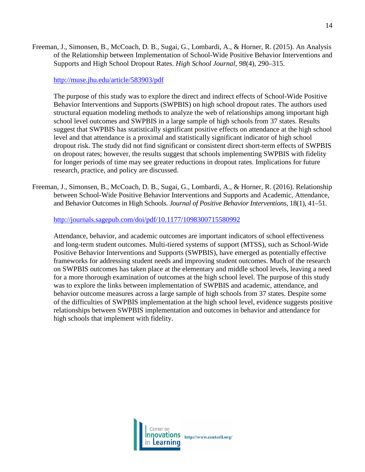Freeman, J., Simonsen, B., McCoach, D. B., Sugai, G., Lombardi, A., & Horner, R. (2015). An Analysis of the Relationship between Implementation of School-Wide Positive Behavior Interventions and Supports and High School Dropout Rates. *High School Journal*, *98*(4), 290–315.

<http://muse.jhu.edu/article/583903/pdf>

The purpose of this study was to explore the direct and indirect effects of School-Wide Positive Behavior Interventions and Supports (SWPBIS) on high school dropout rates. The authors used structural equation modeling methods to analyze the web of relationships among important high school level outcomes and SWPBIS in a large sample of high schools from 37 states. Results suggest that SWPBIS has statistically significant positive effects on attendance at the high school level and that attendance is a proximal and statistically significant indicator of high school dropout risk. The study did not find significant or consistent direct short-term effects of SWPBIS on dropout rates; however, the results suggest that schools implementing SWPBIS with fidelity for longer periods of time may see greater reductions in dropout rates. Implications for future research, practice, and policy are discussed.

Freeman, J., Simonsen, B., McCoach, D. B., Sugai, G., Lombardi, A., & Horner, R. (2016). Relationship between School-Wide Positive Behavior Interventions and Supports and Academic, Attendance, and Behavior Outcomes in High Schools. *Journal of Positive Behavior Interventions*, 18(1), 41–51.

<http://journals.sagepub.com/doi/pdf/10.1177/1098300715580992>

Attendance, behavior, and academic outcomes are important indicators of school effectiveness and long-term student outcomes. Multi-tiered systems of support (MTSS), such as School-Wide Positive Behavior Interventions and Supports (SWPBIS), have emerged as potentially effective frameworks for addressing student needs and improving student outcomes. Much of the research on SWPBIS outcomes has taken place at the elementary and middle school levels, leaving a need for a more thorough examination of outcomes at the high school level. The purpose of this study was to explore the links between implementation of SWPBIS and academic, attendance, and behavior outcome measures across a large sample of high schools from 37 states. Despite some of the difficulties of SWPBIS implementation at the high school level, evidence suggests positive relationships between SWPBIS implementation and outcomes in behavior and attendance for high schools that implement with fidelity.

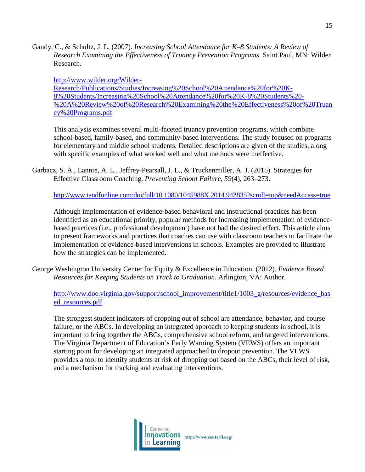Gandy, C., & Schultz, J. L. (2007). *Increasing School Attendance for K–8 Students: A Review of Research Examining the Effectiveness of Truancy Prevention Programs*. Saint Paul, MN: Wilder Research.

[http://www.wilder.org/Wilder-](http://www.wilder.org/Wilder-Research/Publications/Studies/Increasing%20School%20Attendance%20for%20K-8%20Students/Increasing%20School%20Attendance%20for%20K-8%20Students%20-%20A%20Review%20of%20Research%20Examining%20the%20Effectiveness%20of%20Truancy%20Programs.pdf)[Research/Publications/Studies/Increasing%20School%20Attendance%20for%20K-](http://www.wilder.org/Wilder-Research/Publications/Studies/Increasing%20School%20Attendance%20for%20K-8%20Students/Increasing%20School%20Attendance%20for%20K-8%20Students%20-%20A%20Review%20of%20Research%20Examining%20the%20Effectiveness%20of%20Truancy%20Programs.pdf)[8%20Students/Increasing%20School%20Attendance%20for%20K-8%20Students%20-](http://www.wilder.org/Wilder-Research/Publications/Studies/Increasing%20School%20Attendance%20for%20K-8%20Students/Increasing%20School%20Attendance%20for%20K-8%20Students%20-%20A%20Review%20of%20Research%20Examining%20the%20Effectiveness%20of%20Truancy%20Programs.pdf) [%20A%20Review%20of%20Research%20Examining%20the%20Effectiveness%20of%20Truan](http://www.wilder.org/Wilder-Research/Publications/Studies/Increasing%20School%20Attendance%20for%20K-8%20Students/Increasing%20School%20Attendance%20for%20K-8%20Students%20-%20A%20Review%20of%20Research%20Examining%20the%20Effectiveness%20of%20Truancy%20Programs.pdf) [cy%20Programs.pdf](http://www.wilder.org/Wilder-Research/Publications/Studies/Increasing%20School%20Attendance%20for%20K-8%20Students/Increasing%20School%20Attendance%20for%20K-8%20Students%20-%20A%20Review%20of%20Research%20Examining%20the%20Effectiveness%20of%20Truancy%20Programs.pdf)

This analysis examines several multi-faceted truancy prevention programs, which combine school-based, family-based, and community-based interventions. The study focused on programs for elementary and middle school students. Detailed descriptions are given of the studies, along with specific examples of what worked well and what methods were ineffective.

Garbacz, S. A., Lannie, A. L., Jeffrey-Pearsall, J. L., & Truckenmiller, A. J. (2015). Strategies for Effective Classroom Coaching. *Preventing School Failure*, *59*(4), 263–273.

<http://www.tandfonline.com/doi/full/10.1080/1045988X.2014.942835?scroll=top&needAccess=true>

Although implementation of evidence-based behavioral and instructional practices has been identified as an educational priority, popular methods for increasing implementation of evidencebased practices (i.e., professional development) have not had the desired effect. This article aims to present frameworks and practices that coaches can use with classroom teachers to facilitate the implementation of evidence-based interventions in schools. Examples are provided to illustrate how the strategies can be implemented.

George Washington University Center for Equity & Excellence in Education. (2012). *Evidence Based Resources for Keeping Students on Track to Graduation*. Arlington, VA: Author.

[http://www.doe.virginia.gov/support/school\\_improvement/title1/1003\\_g/resources/evidence\\_bas](http://www.doe.virginia.gov/support/school_improvement/title1/1003_g/resources/evidence_based_resources.pdf) [ed\\_resources.pdf](http://www.doe.virginia.gov/support/school_improvement/title1/1003_g/resources/evidence_based_resources.pdf)

The strongest student indicators of dropping out of school are attendance, behavior, and course failure, or the ABCs. In developing an integrated approach to keeping students in school, it is important to bring together the ABCs, comprehensive school reform, and targeted interventions. The Virginia Department of Education's Early Warning System (VEWS) offers an important starting point for developing an integrated approached to dropout prevention. The VEWS provides a tool to identify students at risk of dropping out based on the ABCs, their level of risk, and a mechanism for tracking and evaluating interventions.

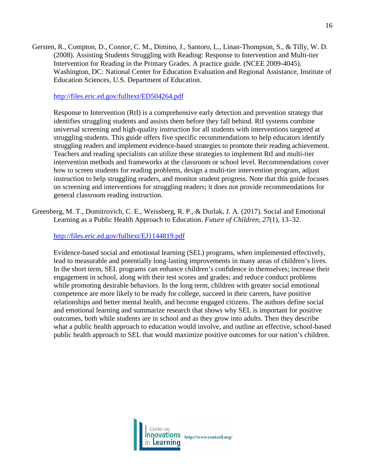Gersten, R., Compton, D., Connor, C. M., Dimino, J., Santoro, L., Linan-Thompson, S., & Tilly, W. D. (2008). Assisting Students Struggling with Reading: Response to Intervention and Multi-tier Intervention for Reading in the Primary Grades. A practice guide. (NCEE 2009-4045). Washington, DC: National Center for Education Evaluation and Regional Assistance, Institute of Education Sciences, U.S. Department of Education.

<http://files.eric.ed.gov/fulltext/ED504264.pdf>

Response to Intervention (RtI) is a comprehensive early detection and prevention strategy that identifies struggling students and assists them before they fall behind. RtI systems combine universal screening and high-quality instruction for all students with interventions targeted at struggling students. This guide offers five specific recommendations to help educators identify struggling readers and implement evidence-based strategies to promote their reading achievement. Teachers and reading specialists can utilize these strategies to implement RtI and multi-tier intervention methods and frameworks at the classroom or school level. Recommendations cover how to screen students for reading problems, design a multi-tier intervention program, adjust instruction to help struggling readers, and monitor student progress. Note that this guide focuses on screening and interventions for struggling readers; it does not provide recommendations for general classroom reading instruction.

Greenberg, M. T., Domitrovich, C. E., Weissberg, R. P., & Durlak, J. A. (2017). Social and Emotional Learning as a Public Health Approach to Education. *Future of Children*, *27*(1), 13–32.

## <http://files.eric.ed.gov/fulltext/EJ1144819.pdf>

Evidence-based social and emotional learning (SEL) programs, when implemented effectively, lead to measurable and potentially long-lasting improvements in many areas of children's lives. In the short term, SEL programs can enhance children's confidence in themselves; increase their engagement in school, along with their test scores and grades; and reduce conduct problems while promoting desirable behaviors. In the long term, children with greater social emotional competence are more likely to be ready for college, succeed in their careers, have positive relationships and better mental health, and become engaged citizens. The authors define social and emotional learning and summarize research that shows why SEL is important for positive outcomes, both while students are in school and as they grow into adults. Then they describe what a public health approach to education would involve, and outline an effective, school-based public health approach to SEL that would maximize positive outcomes for our nation's children.

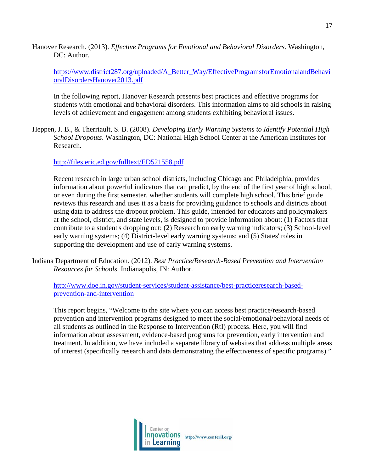Hanover Research. (2013). *Effective Programs for Emotional and Behavioral Disorders*. Washington, DC: Author.

[https://www.district287.org/uploaded/A\\_Better\\_Way/EffectiveProgramsforEmotionalandBehavi](https://www.district287.org/uploaded/A_Better_Way/EffectiveProgramsforEmotionalandBehavioralDisordersHanover2013.pdf) [oralDisordersHanover2013.pdf](https://www.district287.org/uploaded/A_Better_Way/EffectiveProgramsforEmotionalandBehavioralDisordersHanover2013.pdf)

In the following report, Hanover Research presents best practices and effective programs for students with emotional and behavioral disorders. This information aims to aid schools in raising levels of achievement and engagement among students exhibiting behavioral issues.

Heppen, J. B., & Therriault, S. B. (2008). *Developing Early Warning Systems to Identify Potential High School Dropouts*. Washington, DC: National High School Center at the American Institutes for Research.

<http://files.eric.ed.gov/fulltext/ED521558.pdf>

Recent research in large urban school districts, including Chicago and Philadelphia, provides information about powerful indicators that can predict, by the end of the first year of high school, or even during the first semester, whether students will complete high school. This brief guide reviews this research and uses it as a basis for providing guidance to schools and districts about using data to address the dropout problem. This guide, intended for educators and policymakers at the school, district, and state levels, is designed to provide information about: (1) Factors that contribute to a student's dropping out; (2) Research on early warning indicators; (3) School-level early warning systems; (4) District-level early warning systems; and (5) States' roles in supporting the development and use of early warning systems.

[http://www.doe.in.gov/student-services/student-assistance/best-practiceresearch-based](http://www.doe.in.gov/student-services/student-assistance/best-practiceresearch-based-prevention-and-intervention)[prevention-and-intervention](http://www.doe.in.gov/student-services/student-assistance/best-practiceresearch-based-prevention-and-intervention)

This report begins, "Welcome to the site where you can access best practice/research-based prevention and intervention programs designed to meet the social/emotional/behavioral needs of all students as outlined in the Response to Intervention (RtI) process. Here, you will find information about assessment, evidence-based programs for prevention, early intervention and treatment. In addition, we have included a separate library of websites that address multiple areas of interest (specifically research and data demonstrating the effectiveness of specific programs)."



Indiana Department of Education. (2012). *Best Practice/Research-Based Prevention and Intervention Resources for Schools*. Indianapolis, IN: Author.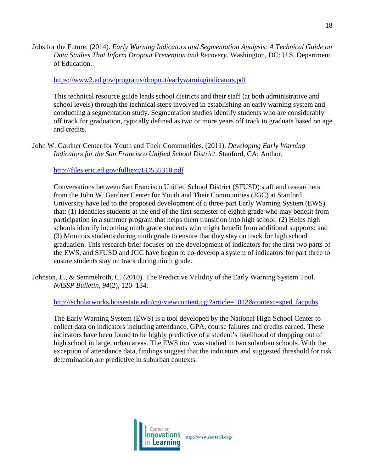Jobs for the Future. (2014). *Early Warning Indicators and Segmentation Analysis: A Technical Guide on Data Studies That Inform Dropout Prevention and Recovery*. Washington, DC: U.S. Department of Education.

### <https://www2.ed.gov/programs/dropout/earlywarningindicators.pdf>

This technical resource guide leads school districts and their staff (at both administrative and school levels) through the technical steps involved in establishing an early warning system and conducting a segmentation study. Segmentation studies identify students who are considerably off track for graduation, typically defined as two or more years off track to graduate based on age and credits.

John W. Gardner Center for Youth and Their Communities. (2011). *Developing Early Warning Indicators for the San Francisco Unified School District*. Stanford, CA: Author.

## <http://files.eric.ed.gov/fulltext/ED535310.pdf>

Conversations between San Francisco Unified School District (SFUSD) staff and researchers from the John W. Gardner Center for Youth and Their Communities (JGC) at Stanford University have led to the proposed development of a three-part Early Warning System (EWS) that: (1) Identifies students at the end of the first semester of eighth grade who may benefit from participation in a summer program that helps them transition into high school; (2) Helps high schools identify incoming ninth grade students who might benefit from additional supports; and (3) Monitors students during ninth grade to ensure that they stay on track for high school graduation. This research brief focuses on the development of indicators for the first two parts of the EWS, and SFUSD and JGC have begun to co-develop a system of indicators for part three to ensure students stay on track during ninth grade.

Johnson, E., & Semmelroth, C. (2010). The Predictive Validity of the Early Warning System Tool. *NASSP Bulletin*, *94*(2), 120–134.

[http://scholarworks.boisestate.edu/cgi/viewcontent.cgi?article=1012&context=sped\\_facpubs](http://scholarworks.boisestate.edu/cgi/viewcontent.cgi?article=1012&context=sped_facpubs)

The Early Warning System (EWS) is a tool developed by the National High School Center to collect data on indicators including attendance, GPA, course failures and credits earned. These indicators have been found to be highly predictive of a student's likelihood of dropping out of high school in large, urban areas. The EWS tool was studied in two suburban schools. With the exception of attendance data, findings suggest that the indicators and suggested threshold for risk determination are predictive in suburban contexts.

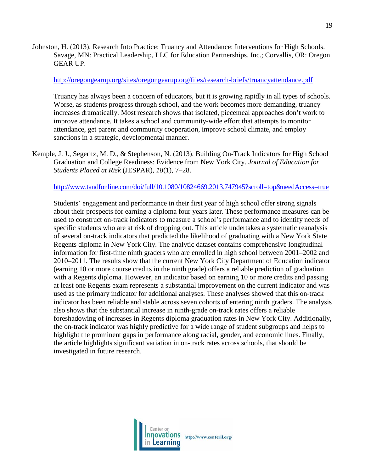Johnston, H. (2013). Research Into Practice: Truancy and Attendance: Interventions for High Schools. Savage, MN: Practical Leadership, LLC for Education Partnerships, Inc.; Corvallis, OR: Oregon GEAR UP.

#### <http://oregongearup.org/sites/oregongearup.org/files/research-briefs/truancyattendance.pdf>

Truancy has always been a concern of educators, but it is growing rapidly in all types of schools. Worse, as students progress through school, and the work becomes more demanding, truancy increases dramatically. Most research shows that isolated, piecemeal approaches don't work to improve attendance. It takes a school and community-wide effort that attempts to monitor attendance, get parent and community cooperation, improve school climate, and employ sanctions in a strategic, developmental manner.

Kemple, J. J., Segeritz, M. D., & Stephenson, N. (2013). Building On-Track Indicators for High School Graduation and College Readiness: Evidence from New York City. *Journal of Education for Students Placed at Risk* (JESPAR), *18*(1), 7–28.

### <http://www.tandfonline.com/doi/full/10.1080/10824669.2013.747945?scroll=top&needAccess=true>

Students' engagement and performance in their first year of high school offer strong signals about their prospects for earning a diploma four years later. These performance measures can be used to construct on-track indicators to measure a school's performance and to identify needs of specific students who are at risk of dropping out. This article undertakes a systematic reanalysis of several on-track indicators that predicted the likelihood of graduating with a New York State Regents diploma in New York City. The analytic dataset contains comprehensive longitudinal information for first-time ninth graders who are enrolled in high school between 2001–2002 and 2010–2011. The results show that the current New York City Department of Education indicator (earning 10 or more course credits in the ninth grade) offers a reliable prediction of graduation with a Regents diploma. However, an indicator based on earning 10 or more credits and passing at least one Regents exam represents a substantial improvement on the current indicator and was used as the primary indicator for additional analyses. These analyses showed that this on-track indicator has been reliable and stable across seven cohorts of entering ninth graders. The analysis also shows that the substantial increase in ninth-grade on-track rates offers a reliable foreshadowing of increases in Regents diploma graduation rates in New York City. Additionally, the on-track indicator was highly predictive for a wide range of student subgroups and helps to highlight the prominent gaps in performance along racial, gender, and economic lines. Finally, the article highlights significant variation in on-track rates across schools, that should be investigated in future research.

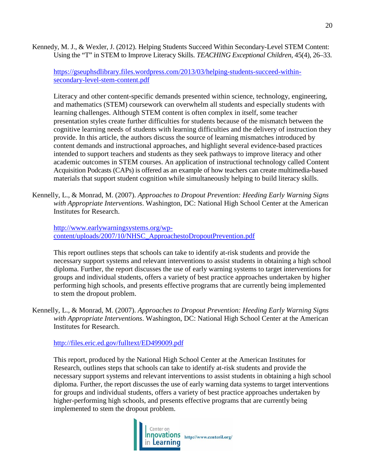Kennedy, M. J., & Wexler, J. (2012). Helping Students Succeed Within Secondary-Level STEM Content: Using the "T" in STEM to Improve Literacy Skills. *TEACHING Exceptional Children*, 45(4), 26–33.

[https://gseuphsdlibrary.files.wordpress.com/2013/03/helping-students-succeed-within](https://gseuphsdlibrary.files.wordpress.com/2013/03/helping-students-succeed-within-secondary-level-stem-content.pdf)[secondary-level-stem-content.pdf](https://gseuphsdlibrary.files.wordpress.com/2013/03/helping-students-succeed-within-secondary-level-stem-content.pdf)

Literacy and other content-specific demands presented within science, technology, engineering, and mathematics (STEM) coursework can overwhelm all students and especially students with learning challenges. Although STEM content is often complex in itself, some teacher presentation styles create further difficulties for students because of the mismatch between the cognitive learning needs of students with learning difficulties and the delivery of instruction they provide. In this article, the authors discuss the source of learning mismatches introduced by content demands and instructional approaches, and highlight several evidence-based practices intended to support teachers and students as they seek pathways to improve literacy and other academic outcomes in STEM courses. An application of instructional technology called Content Acquisition Podcasts (CAPs) is offered as an example of how teachers can create multimedia-based materials that support student cognition while simultaneously helping to build literacy skills.

Kennelly, L., & Monrad, M. (2007). *Approaches to Dropout Prevention: Heeding Early Warning Signs with Appropriate Interventions*. Washington, DC: National High School Center at the American Institutes for Research.

[http://www.earlywarningsystems.org/wp](http://www.earlywarningsystems.org/wp-content/uploads/2007/10/NHSC_ApproachestoDropoutPrevention.pdf)[content/uploads/2007/10/NHSC\\_ApproachestoDropoutPrevention.pdf](http://www.earlywarningsystems.org/wp-content/uploads/2007/10/NHSC_ApproachestoDropoutPrevention.pdf)

This report outlines steps that schools can take to identify at-risk students and provide the necessary support systems and relevant interventions to assist students in obtaining a high school diploma. Further, the report discusses the use of early warning systems to target interventions for groups and individual students, offers a variety of best practice approaches undertaken by higher performing high schools, and presents effective programs that are currently being implemented to stem the dropout problem.

Kennelly, L., & Monrad, M. (2007). *Approaches to Dropout Prevention: Heeding Early Warning Signs with Appropriate Interventions*. Washington, DC: National High School Center at the American Institutes for Research.

<http://files.eric.ed.gov/fulltext/ED499009.pdf>

This report, produced by the National High School Center at the American Institutes for Research, outlines steps that schools can take to identify at-risk students and provide the necessary support systems and relevant interventions to assist students in obtaining a high school diploma. Further, the report discusses the use of early warning data systems to target interventions for groups and individual students, offers a variety of best practice approaches undertaken by higher-performing high schools, and presents effective programs that are currently being implemented to stem the dropout problem.

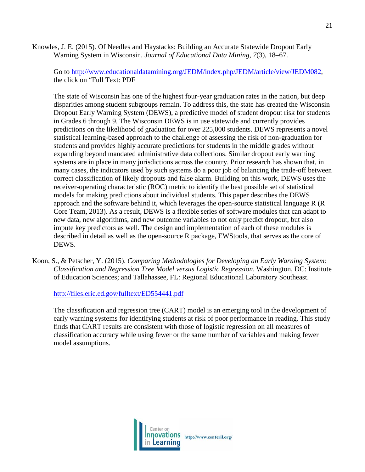Knowles, J. E. (2015). Of Needles and Haystacks: Building an Accurate Statewide Dropout Early Warning System in Wisconsin. *Journal of Educational Data Mining*, *7*(3), 18–67.

Go to [http://www.educationaldatamining.org/JEDM/index.php/JEDM/article/view/JEDM082,](http://www.educationaldatamining.org/JEDM/index.php/JEDM/article/view/JEDM082) the click on "Full Text: PDF

The state of Wisconsin has one of the highest four-year graduation rates in the nation, but deep disparities among student subgroups remain. To address this, the state has created the Wisconsin Dropout Early Warning System (DEWS), a predictive model of student dropout risk for students in Grades 6 through 9. The Wisconsin DEWS is in use statewide and currently provides predictions on the likelihood of graduation for over 225,000 students. DEWS represents a novel statistical learning-based approach to the challenge of assessing the risk of non-graduation for students and provides highly accurate predictions for students in the middle grades without expanding beyond mandated administrative data collections. Similar dropout early warning systems are in place in many jurisdictions across the country. Prior research has shown that, in many cases, the indicators used by such systems do a poor job of balancing the trade-off between correct classification of likely dropouts and false alarm. Building on this work, DEWS uses the receiver-operating characteristic (ROC) metric to identify the best possible set of statistical models for making predictions about individual students. This paper describes the DEWS approach and the software behind it, which leverages the open-source statistical language R (R Core Team, 2013). As a result, DEWS is a flexible series of software modules that can adapt to new data, new algorithms, and new outcome variables to not only predict dropout, but also impute key predictors as well. The design and implementation of each of these modules is described in detail as well as the open-source R package, EWStools, that serves as the core of DEWS.

Koon, S., & Petscher, Y. (2015). *Comparing Methodologies for Developing an Early Warning System: Classification and Regression Tree Model versus Logistic Regression*. Washington, DC: Institute of Education Sciences; and Tallahassee, FL: Regional Educational Laboratory Southeast.

<http://files.eric.ed.gov/fulltext/ED554441.pdf>

The classification and regression tree (CART) model is an emerging tool in the development of early warning systems for identifying students at risk of poor performance in reading. This study finds that CART results are consistent with those of logistic regression on all measures of classification accuracy while using fewer or the same number of variables and making fewer model assumptions.

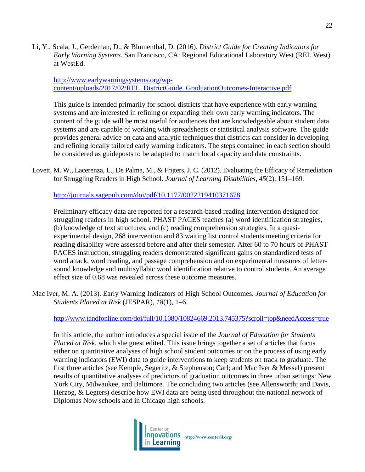Li, Y., Scala, J., Gerdeman, D., & Blumenthal, D. (2016). *District Guide for Creating Indicators for Early Warning Systems*. San Francisco, CA: Regional Educational Laboratory West (REL West) at WestEd.

[http://www.earlywarningsystems.org/wp](http://www.earlywarningsystems.org/wp-content/uploads/2017/02/REL_DistrictGuide_GraduationOutcomes-Interactive.pdf)[content/uploads/2017/02/REL\\_DistrictGuide\\_GraduationOutcomes-Interactive.pdf](http://www.earlywarningsystems.org/wp-content/uploads/2017/02/REL_DistrictGuide_GraduationOutcomes-Interactive.pdf)

This guide is intended primarily for school districts that have experience with early warning systems and are interested in refining or expanding their own early warning indicators. The content of the guide will be most useful for audiences that are knowledgeable about student data systems and are capable of working with spreadsheets or statistical analysis software. The guide provides general advice on data and analytic techniques that districts can consider in developing and refining locally tailored early warning indicators. The steps contained in each section should be considered as guideposts to be adapted to match local capacity and data constraints.

Lovett, M. W., Lacerenza, L., De Palma, M., & Frijters, J. C. (2012). Evaluating the Efficacy of Remediation for Struggling Readers in High School. *Journal of Learning Disabilities*, *45*(2), 151–169.

<http://journals.sagepub.com/doi/pdf/10.1177/0022219410371678>

Preliminary efficacy data are reported for a research-based reading intervention designed for struggling readers in high school. PHAST PACES teaches (a) word identification strategies, (b) knowledge of text structures, and (c) reading comprehension strategies. In a quasiexperimental design, 268 intervention and 83 waiting list control students meeting criteria for reading disability were assessed before and after their semester. After 60 to 70 hours of PHAST PACES instruction, struggling readers demonstrated significant gains on standardized tests of word attack, word reading, and passage comprehension and on experimental measures of lettersound knowledge and multisyllabic word identification relative to control students. An average effect size of 0.68 was revealed across these outcome measures.

Mac Iver, M. A. (2013). Early Warning Indicators of High School Outcomes. *Journal of Education for Students Placed at Risk* (JESPAR), *18*(1), 1–6.

<http://www.tandfonline.com/doi/full/10.1080/10824669.2013.745375?scroll=top&needAccess=true>

In this article, the author introduces a special issue of the *Journal of Education for Students Placed at Risk*, which she guest edited. This issue brings together a set of articles that focus either on quantitative analyses of high school student outcomes or on the process of using early warning indicators (EWI) data to guide interventions to keep students on track to graduate. The first three articles (see Kemple, Segeritz, & Stephenson; Carl; and Mac Iver & Messel) present results of quantitative analyses of predictors of graduation outcomes in three urban settings: New York City, Milwaukee, and Baltimore. The concluding two articles (see Allensworth; and Davis, Herzog, & Legters) describe how EWI data are being used throughout the national network of Diplomas Now schools and in Chicago high schools.

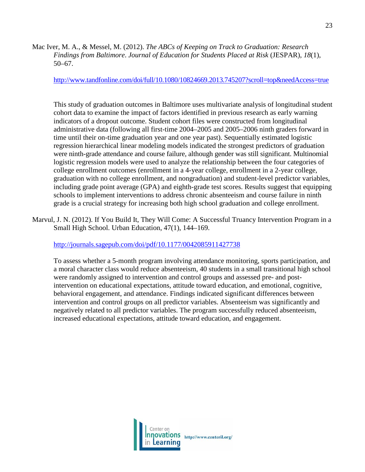Mac Iver, M. A., & Messel, M. (2012). *The ABCs of Keeping on Track to Graduation: Research Findings from Baltimore*. *Journal of Education for Students Placed at Risk* (JESPAR), *18*(1), 50–67.

<http://www.tandfonline.com/doi/full/10.1080/10824669.2013.745207?scroll=top&needAccess=true>

This study of graduation outcomes in Baltimore uses multivariate analysis of longitudinal student cohort data to examine the impact of factors identified in previous research as early warning indicators of a dropout outcome. Student cohort files were constructed from longitudinal administrative data (following all first-time 2004–2005 and 2005–2006 ninth graders forward in time until their on-time graduation year and one year past). Sequentially estimated logistic regression hierarchical linear modeling models indicated the strongest predictors of graduation were ninth-grade attendance and course failure, although gender was still significant. Multinomial logistic regression models were used to analyze the relationship between the four categories of college enrollment outcomes (enrollment in a 4-year college, enrollment in a 2-year college, graduation with no college enrollment, and nongraduation) and student-level predictor variables, including grade point average (GPA) and eighth-grade test scores. Results suggest that equipping schools to implement interventions to address chronic absenteeism and course failure in ninth grade is a crucial strategy for increasing both high school graduation and college enrollment.

Marvul, J. N. (2012). If You Build It, They Will Come: A Successful Truancy Intervention Program in a Small High School. Urban Education, 47(1), 144–169.

<http://journals.sagepub.com/doi/pdf/10.1177/0042085911427738>

To assess whether a 5-month program involving attendance monitoring, sports participation, and a moral character class would reduce absenteeism, 40 students in a small transitional high school were randomly assigned to intervention and control groups and assessed pre- and postintervention on educational expectations, attitude toward education, and emotional, cognitive, behavioral engagement, and attendance. Findings indicated significant differences between intervention and control groups on all predictor variables. Absenteeism was significantly and negatively related to all predictor variables. The program successfully reduced absenteeism, increased educational expectations, attitude toward education, and engagement.

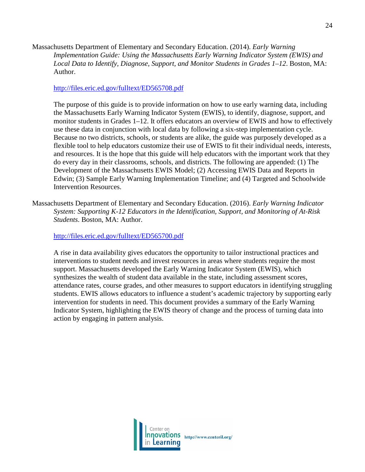Massachusetts Department of Elementary and Secondary Education. (2014). *Early Warning Implementation Guide: Using the Massachusetts Early Warning Indicator System (EWIS) and Local Data to Identify, Diagnose, Support, and Monitor Students in Grades 1–12*. Boston, MA: Author.

#### <http://files.eric.ed.gov/fulltext/ED565708.pdf>

The purpose of this guide is to provide information on how to use early warning data, including the Massachusetts Early Warning Indicator System (EWIS), to identify, diagnose, support, and monitor students in Grades 1–12. It offers educators an overview of EWIS and how to effectively use these data in conjunction with local data by following a six-step implementation cycle. Because no two districts, schools, or students are alike, the guide was purposely developed as a flexible tool to help educators customize their use of EWIS to fit their individual needs, interests, and resources. It is the hope that this guide will help educators with the important work that they do every day in their classrooms, schools, and districts. The following are appended: (1) The Development of the Massachusetts EWIS Model; (2) Accessing EWIS Data and Reports in Edwin; (3) Sample Early Warning Implementation Timeline; and (4) Targeted and Schoolwide Intervention Resources.

Massachusetts Department of Elementary and Secondary Education. (2016). *Early Warning Indicator System: Supporting K-12 Educators in the Identification, Support, and Monitoring of At-Risk Students*. Boston, MA: Author.

<http://files.eric.ed.gov/fulltext/ED565700.pdf>

A rise in data availability gives educators the opportunity to tailor instructional practices and interventions to student needs and invest resources in areas where students require the most support. Massachusetts developed the Early Warning Indicator System (EWIS), which synthesizes the wealth of student data available in the state, including assessment scores, attendance rates, course grades, and other measures to support educators in identifying struggling students. EWIS allows educators to influence a student's academic trajectory by supporting early intervention for students in need. This document provides a summary of the Early Warning Indicator System, highlighting the EWIS theory of change and the process of turning data into action by engaging in pattern analysis.

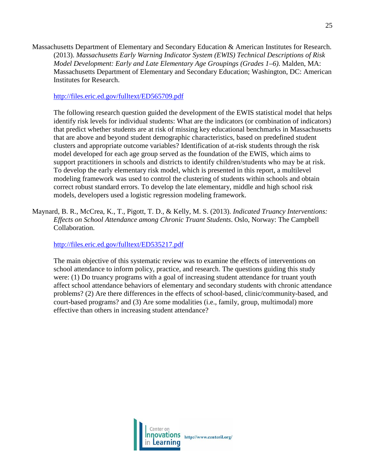Massachusetts Department of Elementary and Secondary Education & American Institutes for Research. (2013). *Massachusetts Early Warning Indicator System (EWIS) Technical Descriptions of Risk Model Development: Early and Late Elementary Age Groupings (Grades 1–6)*. Malden, MA: Massachusetts Department of Elementary and Secondary Education; Washington, DC: American Institutes for Research.

<http://files.eric.ed.gov/fulltext/ED565709.pdf>

The following research question guided the development of the EWIS statistical model that helps identify risk levels for individual students: What are the indicators (or combination of indicators) that predict whether students are at risk of missing key educational benchmarks in Massachusetts that are above and beyond student demographic characteristics, based on predefined student clusters and appropriate outcome variables? Identification of at-risk students through the risk model developed for each age group served as the foundation of the EWIS, which aims to support practitioners in schools and districts to identify children/students who may be at risk. To develop the early elementary risk model, which is presented in this report, a multilevel modeling framework was used to control the clustering of students within schools and obtain correct robust standard errors. To develop the late elementary, middle and high school risk models, developers used a logistic regression modeling framework.

Maynard, B. R., McCrea, K., T., Pigott, T. D., & Kelly, M. S. (2013). *Indicated Truancy Interventions: Effects on School Attendance among Chronic Truant Students*. Oslo, Norway: The Campbell Collaboration.

<http://files.eric.ed.gov/fulltext/ED535217.pdf>

The main objective of this systematic review was to examine the effects of interventions on school attendance to inform policy, practice, and research. The questions guiding this study were: (1) Do truancy programs with a goal of increasing student attendance for truant youth affect school attendance behaviors of elementary and secondary students with chronic attendance problems? (2) Are there differences in the effects of school-based, clinic/community-based, and court-based programs? and (3) Are some modalities (i.e., family, group, multimodal) more effective than others in increasing student attendance?

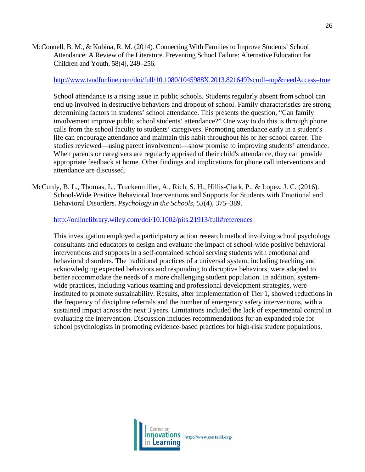McConnell, B. M., & Kubina, R. M. (2014). Connecting With Families to Improve Students' School Attendance: A Review of the Literature. Preventing School Failure: Alternative Education for Children and Youth, 58(4), 249–256.

## <http://www.tandfonline.com/doi/full/10.1080/1045988X.2013.821649?scroll=top&needAccess=true>

School attendance is a rising issue in public schools. Students regularly absent from school can end up involved in destructive behaviors and dropout of school. Family characteristics are strong determining factors in students' school attendance. This presents the question, "Can family involvement improve public school students' attendance?" One way to do this is through phone calls from the school faculty to students' caregivers. Promoting attendance early in a student's life can encourage attendance and maintain this habit throughout his or her school career. The studies reviewed—using parent involvement—show promise to improving students' attendance. When parents or caregivers are regularly apprised of their child's attendance, they can provide appropriate feedback at home. Other findings and implications for phone call interventions and attendance are discussed.

McCurdy, B. L., Thomas, L., Truckenmiller, A., Rich, S. H., Hillis-Clark, P., & Lopez, J. C. (2016). School-Wide Positive Behavioral Interventions and Supports for Students with Emotional and Behavioral Disorders. *Psychology in the Schools*, *53*(4), 375–389.

<http://onlinelibrary.wiley.com/doi/10.1002/pits.21913/full#references>

This investigation employed a participatory action research method involving school psychology consultants and educators to design and evaluate the impact of school-wide positive behavioral interventions and supports in a self-contained school serving students with emotional and behavioral disorders. The traditional practices of a universal system, including teaching and acknowledging expected behaviors and responding to disruptive behaviors, were adapted to better accommodate the needs of a more challenging student population. In addition, systemwide practices, including various teaming and professional development strategies, were instituted to promote sustainability. Results, after implementation of Tier 1, showed reductions in the frequency of discipline referrals and the number of emergency safety interventions, with a sustained impact across the next 3 years. Limitations included the lack of experimental control in evaluating the intervention. Discussion includes recommendations for an expanded role for school psychologists in promoting evidence-based practices for high-risk student populations.

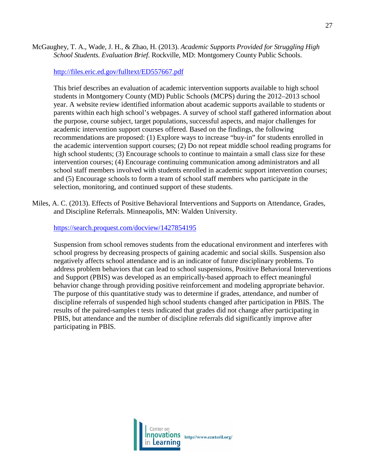the purpose, course subject, target populations, successful aspects, and major challenges for academic intervention support courses offered. Based on the findings, the following

McGaughey, T. A., Wade, J. H., & Zhao, H. (2013). *Academic Supports Provided for Struggling High School Students. Evaluation Brief*. Rockville, MD: Montgomery County Public Schools.

recommendations are proposed: (1) Explore ways to increase "buy-in" for students enrolled in the academic intervention support courses; (2) Do not repeat middle school reading programs for high school students; (3) Encourage schools to continue to maintain a small class size for these intervention courses; (4) Encourage continuing communication among administrators and all school staff members involved with students enrolled in academic support intervention courses; and (5) Encourage schools to form a team of school staff members who participate in the selection, monitoring, and continued support of these students.

This brief describes an evaluation of academic intervention supports available to high school students in Montgomery County (MD) Public Schools (MCPS) during the 2012–2013 school year. A website review identified information about academic supports available to students or parents within each high school's webpages. A survey of school staff gathered information about

Miles, A. C. (2013). Effects of Positive Behavioral Interventions and Supports on Attendance, Grades, and Discipline Referrals. Minneapolis, MN: Walden University.

<https://search.proquest.com/docview/1427854195>

<http://files.eric.ed.gov/fulltext/ED557667.pdf>

Suspension from school removes students from the educational environment and interferes with school progress by decreasing prospects of gaining academic and social skills. Suspension also negatively affects school attendance and is an indicator of future disciplinary problems. To address problem behaviors that can lead to school suspensions, Positive Behavioral Interventions and Support (PBIS) was developed as an empirically-based approach to effect meaningful behavior change through providing positive reinforcement and modeling appropriate behavior. The purpose of this quantitative study was to determine if grades, attendance, and number of discipline referrals of suspended high school students changed after participation in PBIS. The results of the paired-samples t tests indicated that grades did not change after participating in PBIS, but attendance and the number of discipline referrals did significantly improve after participating in PBIS.

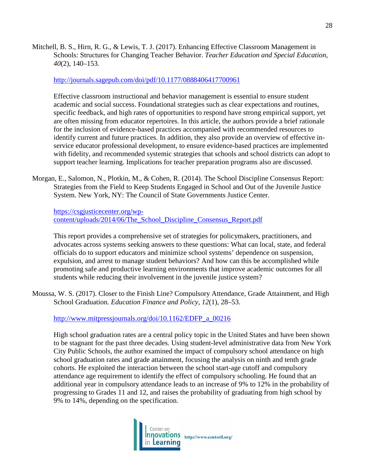Mitchell, B. S., Hirn, R. G., & Lewis, T. J. (2017). Enhancing Effective Classroom Management in Schools: Structures for Changing Teacher Behavior. *Teacher Education and Special Education*, *40*(2), 140–153.

#### <http://journals.sagepub.com/doi/pdf/10.1177/0888406417700961>

Effective classroom instructional and behavior management is essential to ensure student academic and social success. Foundational strategies such as clear expectations and routines, specific feedback, and high rates of opportunities to respond have strong empirical support, yet are often missing from educator repertoires. In this article, the authors provide a brief rationale for the inclusion of evidence-based practices accompanied with recommended resources to identify current and future practices. In addition, they also provide an overview of effective inservice educator professional development, to ensure evidence-based practices are implemented with fidelity, and recommended systemic strategies that schools and school districts can adopt to support teacher learning. Implications for teacher preparation programs also are discussed.

Morgan, E., Salomon, N., Plotkin, M., & Cohen, R. (2014). The School Discipline Consensus Report: Strategies from the Field to Keep Students Engaged in School and Out of the Juvenile Justice System. New York, NY: The Council of State Governments Justice Center.

[https://csgjusticecenter.org/wp](https://csgjusticecenter.org/wp-content/uploads/2014/06/The_School_Discipline_Consensus_Report.pdf)[content/uploads/2014/06/The\\_School\\_Discipline\\_Consensus\\_Report.pdf](https://csgjusticecenter.org/wp-content/uploads/2014/06/The_School_Discipline_Consensus_Report.pdf)

This report provides a comprehensive set of strategies for policymakers, practitioners, and advocates across systems seeking answers to these questions: What can local, state, and federal officials do to support educators and minimize school systems' dependence on suspension, expulsion, and arrest to manage student behaviors? And how can this be accomplished while promoting safe and productive learning environments that improve academic outcomes for all students while reducing their involvement in the juvenile justice system?

Moussa, W. S. (2017). Closer to the Finish Line? Compulsory Attendance, Grade Attainment, and High School Graduation. *Education Finance and Policy*, *12*(1), 28–53.

[http://www.mitpressjournals.org/doi/10.1162/EDFP\\_a\\_00216](http://www.mitpressjournals.org/doi/10.1162/EDFP_a_00216)

High school graduation rates are a central policy topic in the United States and have been shown to be stagnant for the past three decades. Using student-level administrative data from New York City Public Schools, the author examined the impact of compulsory school attendance on high school graduation rates and grade attainment, focusing the analysis on ninth and tenth grade cohorts. He exploited the interaction between the school start-age cutoff and compulsory attendance age requirement to identify the effect of compulsory schooling. He found that an additional year in compulsory attendance leads to an increase of 9% to 12% in the probability of progressing to Grades 11 and 12, and raises the probability of graduating from high school by 9% to 14%, depending on the specification.

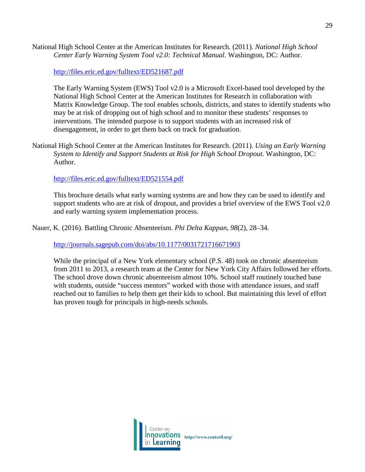National High School Center at the American Institutes for Research. (2011). *National High School Center Early Warning System Tool v2.0: Technical Manual*. Washington, DC: Author.

<http://files.eric.ed.gov/fulltext/ED521687.pdf>

The Early Warning System (EWS) Tool v2.0 is a Microsoft Excel-based tool developed by the National High School Center at the American Institutes for Research in collaboration with Matrix Knowledge Group. The tool enables schools, districts, and states to identify students who may be at risk of dropping out of high school and to monitor these students' responses to interventions. The intended purpose is to support students with an increased risk of disengagement, in order to get them back on track for graduation.

National High School Center at the American Institutes for Research. (2011). *Using an Early Warning System to Identify and Support Students at Risk for High School Dropout*. Washington, DC: Author.

<http://files.eric.ed.gov/fulltext/ED521554.pdf>

This brochure details what early warning systems are and how they can be used to identify and support students who are at risk of dropout, and provides a brief overview of the EWS Tool v2.0 and early warning system implementation process.

Nauer, K. (2016). Battling Chronic Absenteeism. *Phi Delta Kappan*, *98*(2), 28–34.

<http://journals.sagepub.com/doi/abs/10.1177/0031721716671903>

While the principal of a New York elementary school (P.S. 48) took on chronic absenteeism from 2011 to 2013, a research team at the Center for New York City Affairs followed her efforts. The school drove down chronic absenteeism almost 10%. School staff routinely touched base with students, outside "success mentors" worked with those with attendance issues, and staff reached out to families to help them get their kids to school. But maintaining this level of effort has proven tough for principals in high-needs schools.

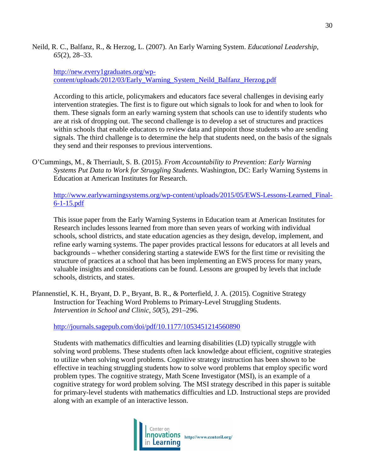Neild, R. C., Balfanz, R., & Herzog, L. (2007). An Early Warning System. *Educational Leadership*, *65*(2), 28–33.

## [http://new.every1graduates.org/wp](http://new.every1graduates.org/wp-content/uploads/2012/03/Early_Warning_System_Neild_Balfanz_Herzog.pdf)[content/uploads/2012/03/Early\\_Warning\\_System\\_Neild\\_Balfanz\\_Herzog.pdf](http://new.every1graduates.org/wp-content/uploads/2012/03/Early_Warning_System_Neild_Balfanz_Herzog.pdf)

According to this article, policymakers and educators face several challenges in devising early intervention strategies. The first is to figure out which signals to look for and when to look for them. These signals form an early warning system that schools can use to identify students who are at risk of dropping out. The second challenge is to develop a set of structures and practices within schools that enable educators to review data and pinpoint those students who are sending signals. The third challenge is to determine the help that students need, on the basis of the signals they send and their responses to previous interventions.

O'Cummings, M., & Therriault, S. B. (2015). *From Accountability to Prevention: Early Warning Systems Put Data to Work for Struggling Students*. Washington, DC: Early Warning Systems in Education at American Institutes for Research.

[http://www.earlywarningsystems.org/wp-content/uploads/2015/05/EWS-Lessons-Learned\\_Final-](http://www.earlywarningsystems.org/wp-content/uploads/2015/05/EWS-Lessons-Learned_Final-6-1-15.pdf)[6-1-15.pdf](http://www.earlywarningsystems.org/wp-content/uploads/2015/05/EWS-Lessons-Learned_Final-6-1-15.pdf)

This issue paper from the Early Warning Systems in Education team at American Institutes for Research includes lessons learned from more than seven years of working with individual schools, school districts, and state education agencies as they design, develop, implement, and refine early warning systems. The paper provides practical lessons for educators at all levels and backgrounds – whether considering starting a statewide EWS for the first time or revisiting the structure of practices at a school that has been implementing an EWS process for many years, valuable insights and considerations can be found. Lessons are grouped by levels that include schools, districts, and states.

Pfannenstiel, K. H., Bryant, D. P., Bryant, B. R., & Porterfield, J. A. (2015). Cognitive Strategy Instruction for Teaching Word Problems to Primary-Level Struggling Students. *Intervention in School and Clinic*, *50*(5), 291–296.

<http://journals.sagepub.com/doi/pdf/10.1177/1053451214560890>

Students with mathematics difficulties and learning disabilities (LD) typically struggle with solving word problems. These students often lack knowledge about efficient, cognitive strategies to utilize when solving word problems. Cognitive strategy instruction has been shown to be effective in teaching struggling students how to solve word problems that employ specific word problem types. The cognitive strategy, Math Scene Investigator (MSI), is an example of a cognitive strategy for word problem solving. The MSI strategy described in this paper is suitable for primary-level students with mathematics difficulties and LD. Instructional steps are provided along with an example of an interactive lesson.

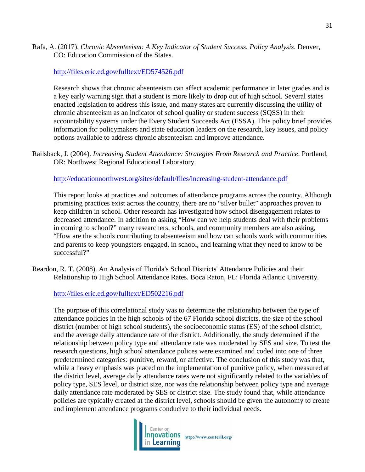## Rafa, A. (2017). *Chronic Absenteeism: A Key Indicator of Student Success. Policy Analysis*. Denver, CO: Education Commission of the States.

### <http://files.eric.ed.gov/fulltext/ED574526.pdf>

Research shows that chronic absenteeism can affect academic performance in later grades and is a key early warning sign that a student is more likely to drop out of high school. Several states enacted legislation to address this issue, and many states are currently discussing the utility of chronic absenteeism as an indicator of school quality or student success (SQSS) in their accountability systems under the Every Student Succeeds Act (ESSA). This policy brief provides information for policymakers and state education leaders on the research, key issues, and policy options available to address chronic absenteeism and improve attendance.

Railsback, J. (2004). *Increasing Student Attendance: Strategies From Research and Practice*. Portland, OR: Northwest Regional Educational Laboratory.

#### <http://educationnorthwest.org/sites/default/files/increasing-student-attendance.pdf>

This report looks at practices and outcomes of attendance programs across the country. Although promising practices exist across the country, there are no "silver bullet" approaches proven to keep children in school. Other research has investigated how school disengagement relates to decreased attendance. In addition to asking "How can we help students deal with their problems in coming to school?" many researchers, schools, and community members are also asking, "How are the schools contributing to absenteeism and how can schools work with communities and parents to keep youngsters engaged, in school, and learning what they need to know to be successful?"

Reardon, R. T. (2008). An Analysis of Florida's School Districts' Attendance Policies and their Relationship to High School Attendance Rates. Boca Raton, FL: Florida Atlantic University.

<http://files.eric.ed.gov/fulltext/ED502216.pdf>

The purpose of this correlational study was to determine the relationship between the type of attendance policies in the high schools of the 67 Florida school districts, the size of the school district (number of high school students), the socioeconomic status (ES) of the school district, and the average daily attendance rate of the district. Additionally, the study determined if the relationship between policy type and attendance rate was moderated by SES and size. To test the research questions, high school attendance polices were examined and coded into one of three predetermined categories: punitive, reward, or affective. The conclusion of this study was that, while a heavy emphasis was placed on the implementation of punitive policy, when measured at the district level, average daily attendance rates were not significantly related to the variables of policy type, SES level, or district size, nor was the relationship between policy type and average daily attendance rate moderated by SES or district size. The study found that, while attendance policies are typically created at the district level, schools should be given the autonomy to create and implement attendance programs conducive to their individual needs.

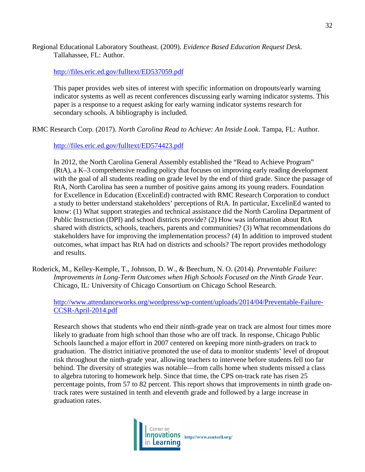Regional Educational Laboratory Southeast. (2009). *Evidence Based Education Request Desk*. Tallahassee, FL: Author.

### <http://files.eric.ed.gov/fulltext/ED537059.pdf>

This paper provides web sites of interest with specific information on dropouts/early warning indicator systems as well as recent conferences discussing early warning indicator systems. This paper is a response to a request asking for early warning indicator systems research for secondary schools. A bibliography is included.

RMC Research Corp. (2017). *North Carolina Read to Achieve: An Inside Look*. Tampa, FL: Author.

## <http://files.eric.ed.gov/fulltext/ED574423.pdf>

In 2012, the North Carolina General Assembly established the "Read to Achieve Program" (RtA), a K–3 comprehensive reading policy that focuses on improving early reading development with the goal of all students reading on grade level by the end of third grade. Since the passage of RtA, North Carolina has seen a number of positive gains among its young readers. Foundation for Excellence in Education (ExcelinEd) contracted with RMC Research Corporation to conduct a study to better understand stakeholders' perceptions of RtA. In particular, ExcelinEd wanted to know: (1) What support strategies and technical assistance did the North Carolina Department of Public Instruction (DPI) and school districts provide? (2) How was information about RtA shared with districts, schools, teachers, parents and communities? (3) What recommendations do stakeholders have for improving the implementation process? (4) In addition to improved student outcomes, what impact has RtA had on districts and schools? The report provides methodology and results.

Roderick, M., Kelley-Kemple, T., Johnson, D. W., & Beechum, N. O. (2014). *Preventable Failure: Improvements in Long-Term Outcomes when High Schools Focused on the Ninth Grade Year*. Chicago, IL: University of Chicago Consortium on Chicago School Research.

[http://www.attendanceworks.org/wordpress/wp-content/uploads/2014/04/Preventable-Failure-](http://www.attendanceworks.org/wordpress/wp-content/uploads/2014/04/Preventable-Failure-CCSR-April-2014.pdf)[CCSR-April-2014.pdf](http://www.attendanceworks.org/wordpress/wp-content/uploads/2014/04/Preventable-Failure-CCSR-April-2014.pdf)

Research shows that students who end their ninth-grade year on track are almost four times more likely to graduate from high school than those who are off track. In response, Chicago Public Schools launched a major effort in 2007 centered on keeping more ninth-graders on track to graduation. The district initiative promoted the use of data to monitor students' level of dropout risk throughout the ninth-grade year, allowing teachers to intervene before students fell too far behind. The diversity of strategies was notable—from calls home when students missed a class to algebra tutoring to homework help. Since that time, the CPS on-track rate has risen 25 percentage points, from 57 to 82 percent. This report shows that improvements in ninth grade ontrack rates were sustained in tenth and eleventh grade and followed by a large increase in graduation rates.

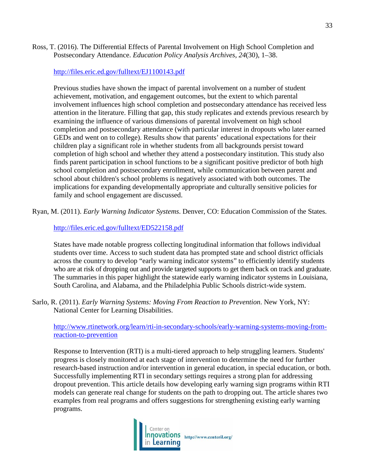## Ross, T. (2016). The Differential Effects of Parental Involvement on High School Completion and Postsecondary Attendance. *Education Policy Analysis Archives*, *24*(30), 1–38.

<http://files.eric.ed.gov/fulltext/EJ1100143.pdf>

Previous studies have shown the impact of parental involvement on a number of student achievement, motivation, and engagement outcomes, but the extent to which parental involvement influences high school completion and postsecondary attendance has received less attention in the literature. Filling that gap, this study replicates and extends previous research by examining the influence of various dimensions of parental involvement on high school completion and postsecondary attendance (with particular interest in dropouts who later earned GEDs and went on to college). Results show that parents' educational expectations for their children play a significant role in whether students from all backgrounds persist toward completion of high school and whether they attend a postsecondary institution. This study also finds parent participation in school functions to be a significant positive predictor of both high school completion and postsecondary enrollment, while communication between parent and school about children's school problems is negatively associated with both outcomes. The implications for expanding developmentally appropriate and culturally sensitive policies for family and school engagement are discussed.

Ryan, M. (2011). *Early Warning Indicator Systems*. Denver, CO: Education Commission of the States.

# <http://files.eric.ed.gov/fulltext/ED522158.pdf>

States have made notable progress collecting longitudinal information that follows individual students over time. Access to such student data has prompted state and school district officials across the country to develop "early warning indicator systems" to efficiently identify students who are at risk of dropping out and provide targeted supports to get them back on track and graduate. The summaries in this paper highlight the statewide early warning indicator systems in Louisiana, South Carolina, and Alabama, and the Philadelphia Public Schools district-wide system.

Sarlo, R. (2011). *Early Warning Systems: Moving From Reaction to Prevention*. New York, NY: National Center for Learning Disabilities.

[http://www.rtinetwork.org/learn/rti-in-secondary-schools/early-warning-systems-moving-from](http://www.rtinetwork.org/learn/rti-in-secondary-schools/early-warning-systems-moving-from-reaction-to-prevention)[reaction-to-prevention](http://www.rtinetwork.org/learn/rti-in-secondary-schools/early-warning-systems-moving-from-reaction-to-prevention)

Response to Intervention (RTI) is a multi-tiered approach to help struggling learners. Students' progress is closely monitored at each stage of intervention to determine the need for further research-based instruction and/or intervention in general education, in special education, or both. Successfully implementing RTI in secondary settings requires a strong plan for addressing dropout prevention. This article details how developing early warning sign programs within RTI models can generate real change for students on the path to dropping out. The article shares two examples from real programs and offers suggestions for strengthening existing early warning programs.

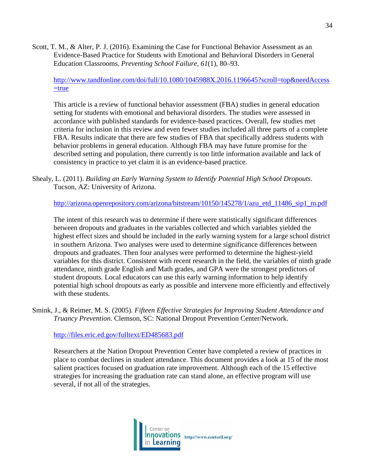Scott, T. M., & Alter, P. J. (2016). Examining the Case for Functional Behavior Assessment as an Evidence-Based Practice for Students with Emotional and Behavioral Disorders in General Education Classrooms. *Preventing School Failure*, *61*(1), 80–93.

## [http://www.tandfonline.com/doi/full/10.1080/1045988X.2016.1196645?scroll=top&needAccess](http://www.tandfonline.com/doi/full/10.1080/1045988X.2016.1196645?scroll=top&needAccess=true)  $=$ true

This article is a review of functional behavior assessment (FBA) studies in general education setting for students with emotional and behavioral disorders. The studies were assessed in accordance with published standards for evidence-based practices. Overall, few studies met criteria for inclusion in this review and even fewer studies included all three parts of a complete FBA. Results indicate that there are few studies of FBA that specifically address students with behavior problems in general education. Although FBA may have future promise for the described setting and population, there currently is too little information available and lack of consistency in practice to yet claim it is an evidence-based practice.

Shealy, L. (2011). *Building an Early Warning System to Identify Potential High School Dropouts*. Tucson, AZ: University of Arizona.

[http://arizona.openrepository.com/arizona/bitstream/10150/145278/1/azu\\_etd\\_11486\\_sip1\\_m.pdf](http://arizona.openrepository.com/arizona/bitstream/10150/145278/1/azu_etd_11486_sip1_m.pdf)

The intent of this research was to determine if there were statistically significant differences between dropouts and graduates in the variables collected and which variables yielded the highest effect sizes and should be included in the early warning system for a large school district in southern Arizona. Two analyses were used to determine significance differences between dropouts and graduates. Then four analyses were performed to determine the highest-yield variables for this district. Consistent with recent research in the field, the variables of ninth grade attendance, ninth grade English and Math grades, and GPA were the strongest predictors of student dropouts. Local educators can use this early warning information to help identify potential high school dropouts as early as possible and intervene more efficiently and effectively with these students.

Smink, J., & Reimer, M. S. (2005). *Fifteen Effective Strategies for Improving Student Attendance and Truancy Prevention*. Clemson, SC: National Dropout Prevention Center/Network.

<http://files.eric.ed.gov/fulltext/ED485683.pdf>

Researchers at the Nation Dropout Prevention Center have completed a review of practices in place to combat declines in student attendance. This document provides a look at 15 of the most salient practices focused on graduation rate improvement. Although each of the 15 effective strategies for increasing the graduation rate can stand alone, an effective program will use several, if not all of the strategies.

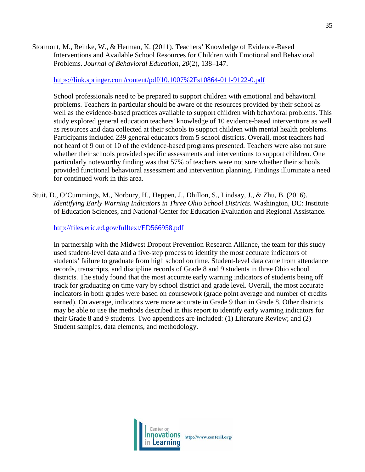Stormont, M., Reinke, W., & Herman, K. (2011). Teachers' Knowledge of Evidence-Based Interventions and Available School Resources for Children with Emotional and Behavioral Problems. *Journal of Behavioral Education*, *20*(2), 138–147.

## <https://link.springer.com/content/pdf/10.1007%2Fs10864-011-9122-0.pdf>

School professionals need to be prepared to support children with emotional and behavioral problems. Teachers in particular should be aware of the resources provided by their school as well as the evidence-based practices available to support children with behavioral problems. This study explored general education teachers' knowledge of 10 evidence-based interventions as well as resources and data collected at their schools to support children with mental health problems. Participants included 239 general educators from 5 school districts. Overall, most teachers had not heard of 9 out of 10 of the evidence-based programs presented. Teachers were also not sure whether their schools provided specific assessments and interventions to support children. One particularly noteworthy finding was that 57% of teachers were not sure whether their schools provided functional behavioral assessment and intervention planning. Findings illuminate a need for continued work in this area.

Stuit, D., O'Cummings, M., Norbury, H., Heppen, J., Dhillon, S., Lindsay, J., & Zhu, B. (2016). *Identifying Early Warning Indicators in Three Ohio School Districts*. Washington, DC: Institute of Education Sciences, and National Center for Education Evaluation and Regional Assistance.

<http://files.eric.ed.gov/fulltext/ED566958.pdf>

In partnership with the Midwest Dropout Prevention Research Alliance, the team for this study used student-level data and a five-step process to identify the most accurate indicators of students' failure to graduate from high school on time. Student-level data came from attendance records, transcripts, and discipline records of Grade 8 and 9 students in three Ohio school districts. The study found that the most accurate early warning indicators of students being off track for graduating on time vary by school district and grade level. Overall, the most accurate indicators in both grades were based on coursework (grade point average and number of credits earned). On average, indicators were more accurate in Grade 9 than in Grade 8. Other districts may be able to use the methods described in this report to identify early warning indicators for their Grade 8 and 9 students. Two appendices are included: (1) Literature Review; and (2) Student samples, data elements, and methodology.

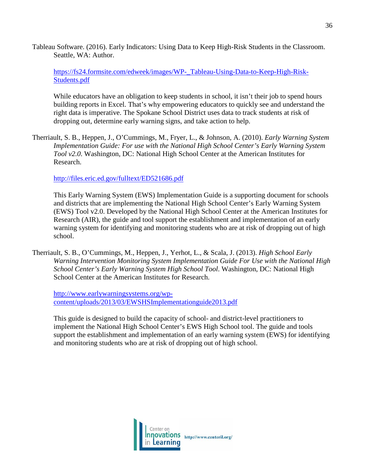Tableau Software. (2016). Early Indicators: Using Data to Keep High-Risk Students in the Classroom. Seattle, WA: Author.

[https://fs24.formsite.com/edweek/images/WP-\\_Tableau-Using-Data-to-Keep-High-Risk-](https://fs24.formsite.com/edweek/images/WP-_Tableau-Using-Data-to-Keep-High-Risk-Students.pdf)[Students.pdf](https://fs24.formsite.com/edweek/images/WP-_Tableau-Using-Data-to-Keep-High-Risk-Students.pdf)

While educators have an obligation to keep students in school, it isn't their job to spend hours building reports in Excel. That's why empowering educators to quickly see and understand the right data is imperative. The Spokane School District uses data to track students at risk of dropping out, determine early warning signs, and take action to help.

Therriault, S. B., Heppen, J., O'Cummings, M., Fryer, L., & Johnson, A. (2010). *Early Warning System Implementation Guide: For use with the National High School Center's Early Warning System Tool v2.0*. Washington, DC: National High School Center at the American Institutes for Research.

<http://files.eric.ed.gov/fulltext/ED521686.pdf>

This Early Warning System (EWS) Implementation Guide is a supporting document for schools and districts that are implementing the National High School Center's Early Warning System (EWS) Tool v2.0. Developed by the National High School Center at the American Institutes for Research (AIR), the guide and tool support the establishment and implementation of an early warning system for identifying and monitoring students who are at risk of dropping out of high school.

Therriault, S. B., O'Cummings, M., Heppen, J., Yerhot, L., & Scala, J. (2013). *High School Early Warning Intervention Monitoring System Implementation Guide For Use with the National High School Center's Early Warning System High School Tool*. Washington, DC: National High School Center at the American Institutes for Research.

[http://www.earlywarningsystems.org/wp](http://www.earlywarningsystems.org/wp-content/uploads/2013/03/EWSHSImplementationguide2013.pdf)[content/uploads/2013/03/EWSHSImplementationguide2013.pdf](http://www.earlywarningsystems.org/wp-content/uploads/2013/03/EWSHSImplementationguide2013.pdf)

This guide is designed to build the capacity of school- and district-level practitioners to implement the National High School Center's EWS High School tool. The guide and tools support the establishment and implementation of an early warning system (EWS) for identifying and monitoring students who are at risk of dropping out of high school.

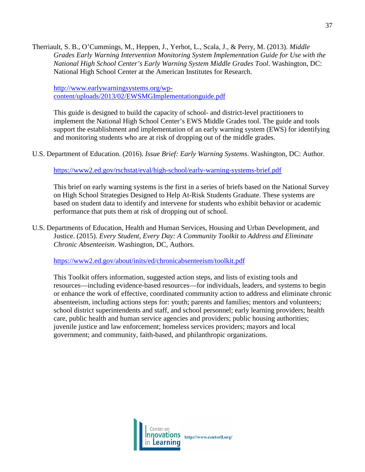Therriault, S. B., O'Cummings, M., Heppen, J., Yerhot, L., Scala, J., & Perry, M. (2013). *Middle Grades Early Warning Intervention Monitoring System Implementation Guide for Use with the National High School Center's Early Warning System Middle Grades Tool*. Washington, DC: National High School Center at the American Institutes for Research.

[http://www.earlywarningsystems.org/wp](http://www.earlywarningsystems.org/wp-content/uploads/2013/02/EWSMGImplementationguide.pdf)[content/uploads/2013/02/EWSMGImplementationguide.pdf](http://www.earlywarningsystems.org/wp-content/uploads/2013/02/EWSMGImplementationguide.pdf)

This guide is designed to build the capacity of school- and district-level practitioners to implement the National High School Center's EWS Middle Grades tool. The guide and tools support the establishment and implementation of an early warning system (EWS) for identifying and monitoring students who are at risk of dropping out of the middle grades.

U.S. Department of Education. (2016). *Issue Brief: Early Warning Systems*. Washington, DC: Author.

<https://www2.ed.gov/rschstat/eval/high-school/early-warning-systems-brief.pdf>

This brief on early warning systems is the first in a series of briefs based on the National Survey on High School Strategies Designed to Help At-Risk Students Graduate. These systems are based on student data to identify and intervene for students who exhibit behavior or academic performance that puts them at risk of dropping out of school.

U.S. Departments of Education, Health and Human Services, Housing and Urban Development, and Justice. (2015). *Every Student, Every Day: A Community Toolkit to Address and Eliminate Chronic Absenteeism*. Washington, DC, Authors.

<https://www2.ed.gov/about/inits/ed/chronicabsenteeism/toolkit.pdf>

This Toolkit offers information, suggested action steps, and lists of existing tools and resources—including evidence-based resources—for individuals, leaders, and systems to begin or enhance the work of effective, coordinated community action to address and eliminate chronic absenteeism, including actions steps for: youth; parents and families; mentors and volunteers; school district superintendents and staff, and school personnel; early learning providers; health care, public health and human service agencies and providers; public housing authorities; juvenile justice and law enforcement; homeless services providers; mayors and local government; and community, faith-based, and philanthropic organizations.

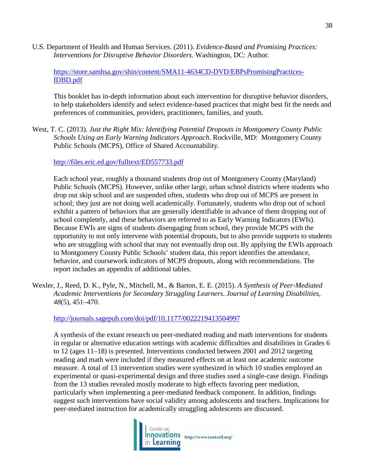U.S. Department of Health and Human Services. (2011). *Evidence-Based and Promising Practices: Interventions for Disruptive Behavior Disorders*. Washington, DC: Author.

[https://store.samhsa.gov/shin/content/SMA11-4634CD-DVD/EBPsPromisingPractices-](https://store.samhsa.gov/shin/content/SMA11-4634CD-DVD/EBPsPromisingPractices-IDBD.pdf)[IDBD.pdf](https://store.samhsa.gov/shin/content/SMA11-4634CD-DVD/EBPsPromisingPractices-IDBD.pdf)

This booklet has in-depth information about each intervention for disruptive behavior disorders, to help stakeholders identify and select evidence-based practices that might best fit the needs and preferences of communities, providers, practitioners, families, and youth.

West, T. C. (2013). *Just the Right Mix: Identifying Potential Dropouts in Montgomery County Public Schools Using an Early Warning Indicators Approach*. Rockville, MD: Montgomery County Public Schools (MCPS), Office of Shared Accountability.

### <http://files.eric.ed.gov/fulltext/ED557733.pdf>

Each school year, roughly a thousand students drop out of Montgomery County (Maryland) Public Schools (MCPS). However, unlike other large, urban school districts where students who drop out skip school and are suspended often, students who drop out of MCPS are present in school; they just are not doing well academically. Fortunately, students who drop out of school exhibit a pattern of behaviors that are generally identifiable in advance of them dropping out of school completely, and these behaviors are referred to as Early Warning Indicators (EWIs). Because EWIs are signs of students disengaging from school, they provide MCPS with the opportunity to not only intervene with potential dropouts, but to also provide supports to students who are struggling with school that may not eventually drop out. By applying the EWIs approach to Montgomery County Public Schools' student data, this report identifies the attendance, behavior, and coursework indicators of MCPS dropouts, along with recommendations. The report includes an appendix of additional tables.

Wexler, J., Reed, D. K., Pyle, N., Mitchell, M., & Barton, E. E. (2015). *A Synthesis of Peer-Mediated Academic Interventions for Secondary Struggling Learners*. *Journal of Learning Disabilities*, *48*(5), 451–470.

<http://journals.sagepub.com/doi/pdf/10.1177/0022219413504997>

A synthesis of the extant research on peer-mediated reading and math interventions for students in regular or alternative education settings with academic difficulties and disabilities in Grades 6 to 12 (ages 11–18) is presented. Interventions conducted between 2001 and 2012 targeting reading and math were included if they measured effects on at least one academic outcome measure. A total of 13 intervention studies were synthesized in which 10 studies employed an experimental or quasi-experimental design and three studies used a single-case design. Findings from the 13 studies revealed mostly moderate to high effects favoring peer mediation, particularly when implementing a peer-mediated feedback component. In addition, findings suggest such interventions have social validity among adolescents and teachers. Implications for peer-mediated instruction for academically struggling adolescents are discussed.